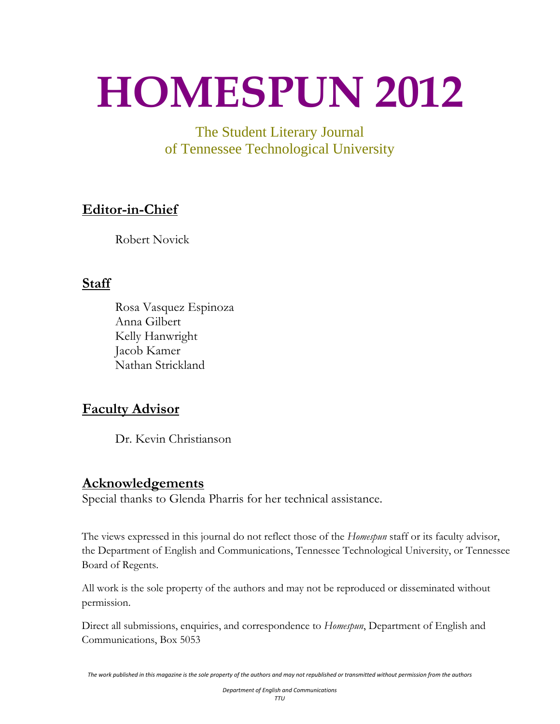# <span id="page-0-0"></span>**HOMESPUN 2012**

The Student Literary Journal of Tennessee Technological University

# **Editor-in-Chief**

Robert Novick

# **Staff**

Rosa Vasquez Espinoza Anna Gilbert Kelly Hanwright Jacob Kamer Nathan Strickland

# **Faculty Advisor**

Dr. Kevin Christianson

# **Acknowledgements**

Special thanks to Glenda Pharris for her technical assistance.

The views expressed in this journal do not reflect those of the *Homespun* staff or its faculty advisor, the Department of English and Communications, Tennessee Technological University, or Tennessee Board of Regents.

All work is the sole property of the authors and may not be reproduced or disseminated without permission.

Direct all submissions, enquiries, and correspondence to *Homespun*, Department of English and Communications, Box 5053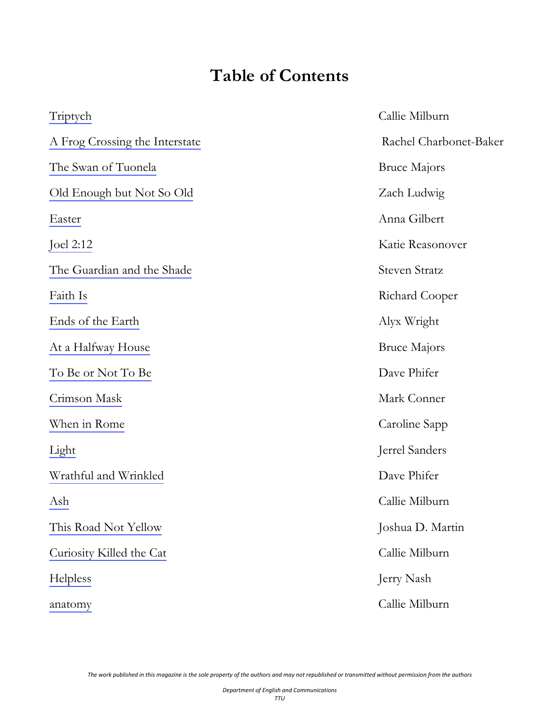# **Table of Contents**

<span id="page-1-0"></span>

| Triptych                       | Callie Milburn         |
|--------------------------------|------------------------|
| A Frog Crossing the Interstate | Rachel Charbonet-Baker |
| The Swan of Tuonela            | <b>Bruce Majors</b>    |
| Old Enough but Not So Old      | Zach Ludwig            |
| Easter                         | Anna Gilbert           |
| Joel 2:12                      | Katie Reasonover       |
| The Guardian and the Shade     | <b>Steven Stratz</b>   |
| Faith Is                       | Richard Cooper         |
| Ends of the Earth              | Alyx Wright            |
| At a Halfway House             | <b>Bruce Majors</b>    |
| To Be or Not To Be             | Dave Phifer            |
| Crimson Mask                   | Mark Conner            |
| When in Rome                   | Caroline Sapp          |
| Light                          | Jerrel Sanders         |
| Wrathful and Wrinkled          | Dave Phifer            |
| Ash                            | Callie Milburn         |
| This Road Not Yellow           | Joshua D. Martin       |
| Curiosity Killed the Cat       | Callie Milburn         |
| Helpless                       | Jerry Nash             |
| anatomy                        | Callie Milburn         |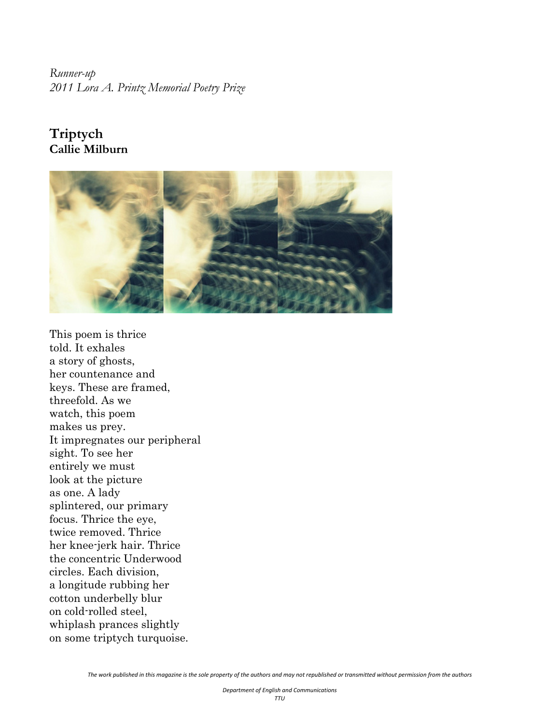<span id="page-2-0"></span>*Runner-up 2011 Lora A. Printz Memorial Poetry Prize* 

# **Triptych Callie Milburn**



This poem is thrice told. It exhales a story of ghosts, her countenance and keys. These are framed, threefold. As we watch, this poem makes us prey. It impregnates our peripheral sight. To see her entirely we must look at the picture as one. A lady splintered, our primary focus. Thrice the eye, twice removed. Thrice her knee-jerk hair. Thrice the concentric Underwood circles. Each division, a longitude rubbing her cotton underbelly blur on cold-rolled steel, whiplash prances slightly on some triptych turquoise.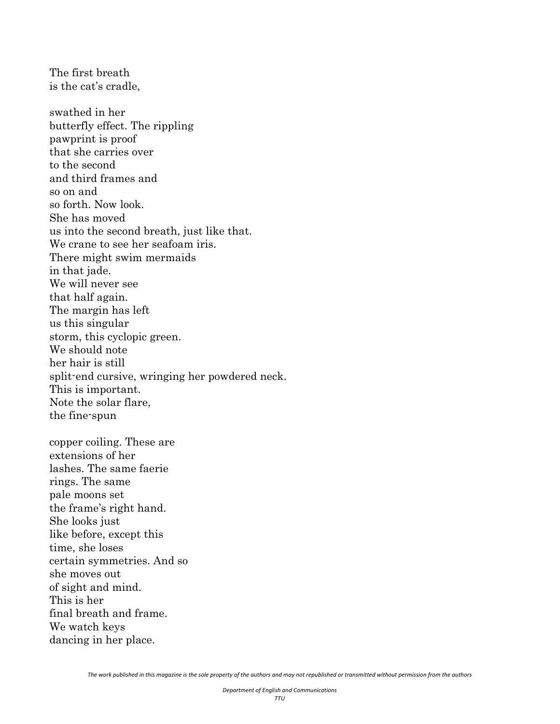is the cat's cradle, swathed in her butterfly effect. The rippling pawprint is proof that she carries over to the second and third frames and so on and so forth. Now look. She has moved us into the second breath, just like that. We crane to see her seafoam iris. There might swim mermaids in that jade. We will never see that half again. The margin has left us this singular storm, this cyclopic green. We should note her hair is still split-end cursive, wringing her powdered neck. This is important. Note the solar flare, the fine-spun

The first breath

copper coiling. These are extensions of her lashes. The same faerie rings. The same pale moons set the frame's right hand. She looks just like before, except this time, she loses certain symmetries. And so she moves out of sight and mind. This is her final breath and frame. We watch keys dancing in her place.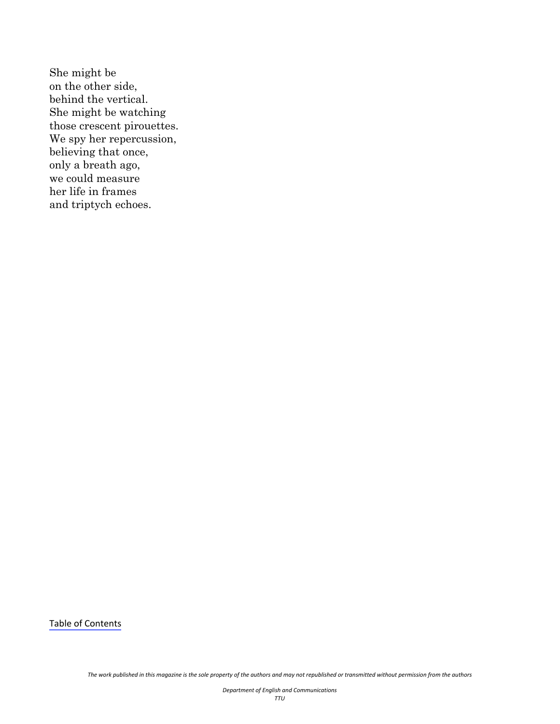She might be on the other side, behind the vertical. She might be watching those crescent pirouettes. We spy her repercussion, believing that once, only a breath ago, we could measure her life in frames and triptych echoes.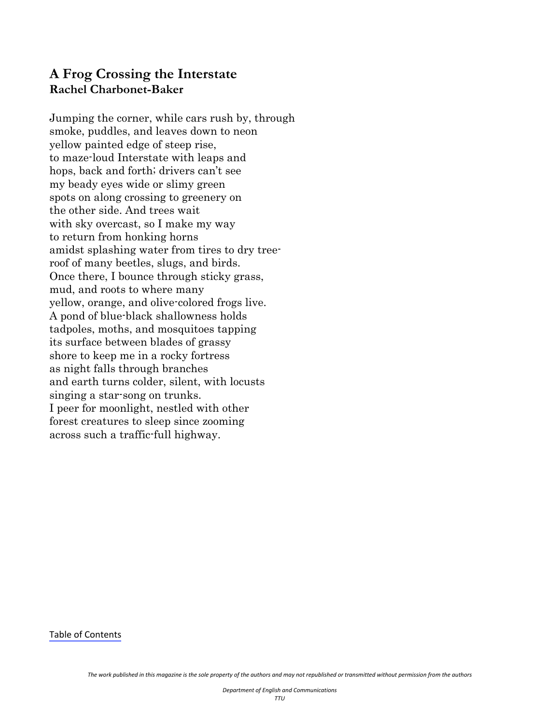#### <span id="page-5-0"></span>**A Frog Crossing the Interstate Rachel Charbonet-Baker**

Jumping the corner, while cars rush by, through smoke, puddles, and leaves down to neon yellow painted edge of steep rise, to maze-loud Interstate with leaps and hops, back and forth; drivers can't see my beady eyes wide or slimy green spots on along crossing to greenery on the other side. And trees wait with sky overcast, so I make my way to return from honking horns amidst splashing water from tires to dry treeroof of many beetles, slugs, and birds. Once there, I bounce through sticky grass, mud, and roots to where many yellow, orange, and olive-colored frogs live. A pond of blue-black shallowness holds tadpoles, moths, and mosquitoes tapping its surface between blades of grassy shore to keep me in a rocky fortress as night falls through branches and earth turns colder, silent, with locusts singing a star-song on trunks. I peer for moonlight, nestled with other forest creatures to sleep since zooming across such a traffic-full highway.

Table of [Contents](#page-1-0)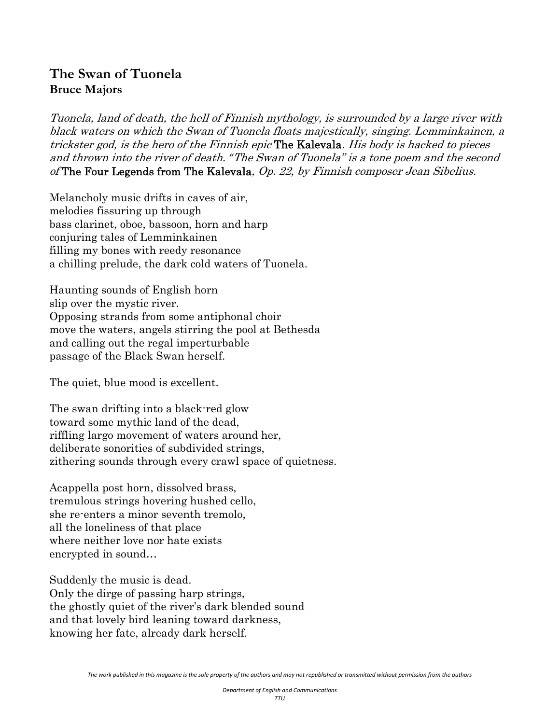# **The Swan of Tuonela Bruce Majors**

Tuonela, land of death, the hell of Finnish mythology, is surrounded by a large river with black waters on which the Swan of Tuonela floats majestically, singing. Lemminkainen, a trickster god, is the hero of the Finnish epic The Kalevala. His body is hacked to pieces and thrown into the river of death. *"*The Swan of Tuonela" is a tone poem and the second of The Four Legends from The Kalevala, Op. 22, by Finnish composer Jean Sibelius.

Melancholy music drifts in caves of air, melodies fissuring up through bass clarinet, oboe, bassoon, horn and harp conjuring tales of Lemminkainen filling my bones with reedy resonance a chilling prelude, the dark cold waters of Tuonela.

Haunting sounds of English horn slip over the mystic river. Opposing strands from some antiphonal choir move the waters, angels stirring the pool at Bethesda and calling out the regal imperturbable passage of the Black Swan herself.

The quiet, blue mood is excellent.

The swan drifting into a black-red glow toward some mythic land of the dead, riffling largo movement of waters around her, deliberate sonorities of subdivided strings, zithering sounds through every crawl space of quietness.

Acappella post horn, dissolved brass, tremulous strings hovering hushed cello, she re-enters a minor seventh tremolo, all the loneliness of that place where neither love nor hate exists encrypted in sound…

Suddenly the music is dead. Only the dirge of passing harp strings, the ghostly quiet of the river's dark blended sound and that lovely bird leaning toward darkness, knowing her fate, already dark herself.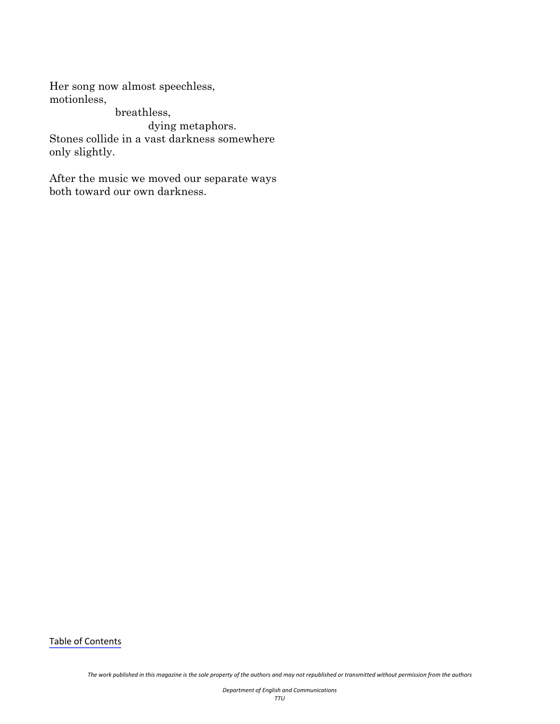Her song now almost speechless, motionless,

breathless, dying metaphors. Stones collide in a vast darkness somewhere only slightly.

After the music we moved our separate ways both toward our own darkness.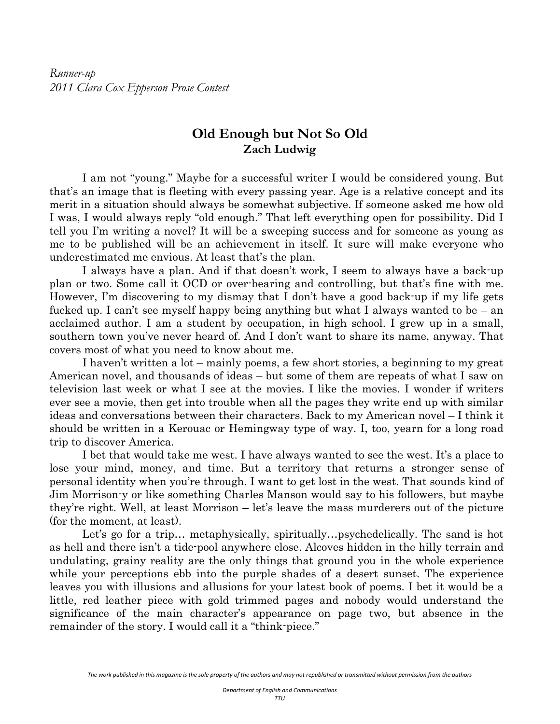<span id="page-8-0"></span>*Runner-up 2011 Clara Cox Epperson Prose Contest* 

#### **Old Enough but Not So Old Zach Ludwig**

 I am not "young." Maybe for a successful writer I would be considered young. But that's an image that is fleeting with every passing year. Age is a relative concept and its merit in a situation should always be somewhat subjective. If someone asked me how old I was, I would always reply "old enough." That left everything open for possibility. Did I tell you I'm writing a novel? It will be a sweeping success and for someone as young as me to be published will be an achievement in itself. It sure will make everyone who underestimated me envious. At least that's the plan.

 I always have a plan. And if that doesn't work, I seem to always have a back-up plan or two. Some call it OCD or over-bearing and controlling, but that's fine with me. However, I'm discovering to my dismay that I don't have a good back-up if my life gets fucked up. I can't see myself happy being anything but what I always wanted to be – an acclaimed author. I am a student by occupation, in high school. I grew up in a small, southern town you've never heard of. And I don't want to share its name, anyway. That covers most of what you need to know about me.

 I haven't written a lot – mainly poems, a few short stories, a beginning to my great American novel, and thousands of ideas – but some of them are repeats of what I saw on television last week or what I see at the movies. I like the movies. I wonder if writers ever see a movie, then get into trouble when all the pages they write end up with similar ideas and conversations between their characters. Back to my American novel – I think it should be written in a Kerouac or Hemingway type of way. I, too, yearn for a long road trip to discover America.

 I bet that would take me west. I have always wanted to see the west. It's a place to lose your mind, money, and time. But a territory that returns a stronger sense of personal identity when you're through. I want to get lost in the west. That sounds kind of Jim Morrison-y or like something Charles Manson would say to his followers, but maybe they're right. Well, at least Morrison – let's leave the mass murderers out of the picture (for the moment, at least).

Let's go for a trip... metaphysically, spiritually...psychedelically. The sand is hot as hell and there isn't a tide-pool anywhere close. Alcoves hidden in the hilly terrain and undulating, grainy reality are the only things that ground you in the whole experience while your perceptions ebb into the purple shades of a desert sunset. The experience leaves you with illusions and allusions for your latest book of poems. I bet it would be a little, red leather piece with gold trimmed pages and nobody would understand the significance of the main character's appearance on page two, but absence in the remainder of the story. I would call it a "think-piece."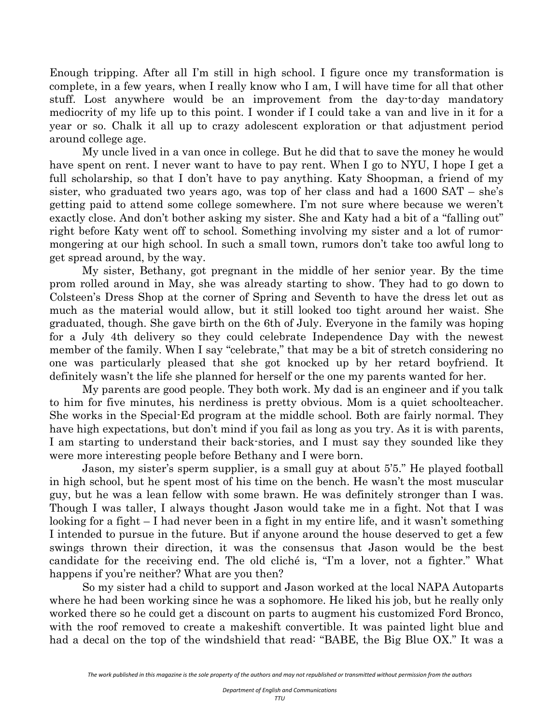Enough tripping. After all I'm still in high school. I figure once my transformation is complete, in a few years, when I really know who I am, I will have time for all that other stuff. Lost anywhere would be an improvement from the day-to-day mandatory mediocrity of my life up to this point. I wonder if I could take a van and live in it for a year or so. Chalk it all up to crazy adolescent exploration or that adjustment period around college age.

 My uncle lived in a van once in college. But he did that to save the money he would have spent on rent. I never want to have to pay rent. When I go to NYU, I hope I get a full scholarship, so that I don't have to pay anything. Katy Shoopman, a friend of my sister, who graduated two years ago, was top of her class and had a 1600 SAT – she's getting paid to attend some college somewhere. I'm not sure where because we weren't exactly close. And don't bother asking my sister. She and Katy had a bit of a "falling out" right before Katy went off to school. Something involving my sister and a lot of rumormongering at our high school. In such a small town, rumors don't take too awful long to get spread around, by the way.

My sister, Bethany, got pregnant in the middle of her senior year. By the time prom rolled around in May, she was already starting to show. They had to go down to Colsteen's Dress Shop at the corner of Spring and Seventh to have the dress let out as much as the material would allow, but it still looked too tight around her waist. She graduated, though. She gave birth on the 6th of July. Everyone in the family was hoping for a July 4th delivery so they could celebrate Independence Day with the newest member of the family. When I say "celebrate," that may be a bit of stretch considering no one was particularly pleased that she got knocked up by her retard boyfriend. It definitely wasn't the life she planned for herself or the one my parents wanted for her.

 My parents are good people. They both work. My dad is an engineer and if you talk to him for five minutes, his nerdiness is pretty obvious. Mom is a quiet schoolteacher. She works in the Special-Ed program at the middle school. Both are fairly normal. They have high expectations, but don't mind if you fail as long as you try. As it is with parents, I am starting to understand their back-stories, and I must say they sounded like they were more interesting people before Bethany and I were born.

 Jason, my sister's sperm supplier, is a small guy at about 5'5." He played football in high school, but he spent most of his time on the bench. He wasn't the most muscular guy, but he was a lean fellow with some brawn. He was definitely stronger than I was. Though I was taller, I always thought Jason would take me in a fight. Not that I was looking for a fight – I had never been in a fight in my entire life, and it wasn't something I intended to pursue in the future. But if anyone around the house deserved to get a few swings thrown their direction, it was the consensus that Jason would be the best candidate for the receiving end. The old cliché is, "I'm a lover, not a fighter." What happens if you're neither? What are you then?

 So my sister had a child to support and Jason worked at the local NAPA Autoparts where he had been working since he was a sophomore. He liked his job, but he really only worked there so he could get a discount on parts to augment his customized Ford Bronco, with the roof removed to create a makeshift convertible. It was painted light blue and had a decal on the top of the windshield that read: "BABE, the Big Blue OX." It was a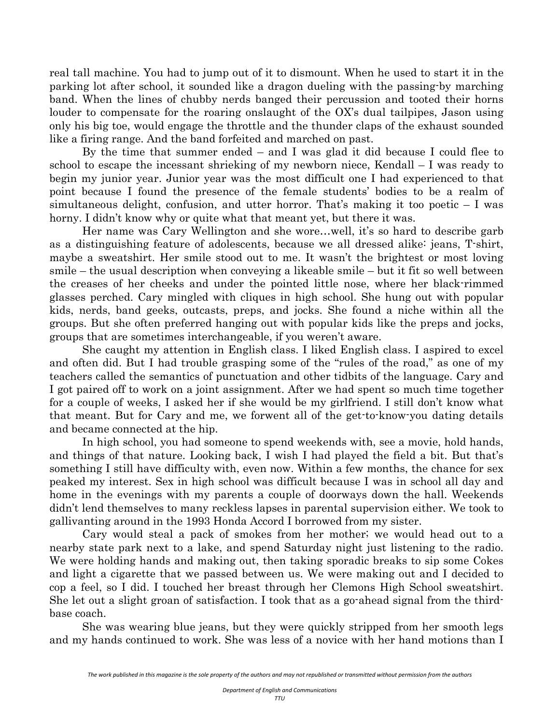real tall machine. You had to jump out of it to dismount. When he used to start it in the parking lot after school, it sounded like a dragon dueling with the passing-by marching band. When the lines of chubby nerds banged their percussion and tooted their horns louder to compensate for the roaring onslaught of the OX's dual tailpipes, Jason using only his big toe, would engage the throttle and the thunder claps of the exhaust sounded like a firing range. And the band forfeited and marched on past.

 By the time that summer ended – and I was glad it did because I could flee to school to escape the incessant shrieking of my newborn niece, Kendall – I was ready to begin my junior year. Junior year was the most difficult one I had experienced to that point because I found the presence of the female students' bodies to be a realm of simultaneous delight, confusion, and utter horror. That's making it too poetic  $-1$  was horny. I didn't know why or quite what that meant yet, but there it was.

 Her name was Cary Wellington and she wore…well, it's so hard to describe garb as a distinguishing feature of adolescents, because we all dressed alike: jeans, T-shirt, maybe a sweatshirt. Her smile stood out to me. It wasn't the brightest or most loving smile – the usual description when conveying a likeable smile – but it fit so well between the creases of her cheeks and under the pointed little nose, where her black-rimmed glasses perched. Cary mingled with cliques in high school. She hung out with popular kids, nerds, band geeks, outcasts, preps, and jocks. She found a niche within all the groups. But she often preferred hanging out with popular kids like the preps and jocks, groups that are sometimes interchangeable, if you weren't aware.

 She caught my attention in English class. I liked English class. I aspired to excel and often did. But I had trouble grasping some of the "rules of the road," as one of my teachers called the semantics of punctuation and other tidbits of the language. Cary and I got paired off to work on a joint assignment. After we had spent so much time together for a couple of weeks, I asked her if she would be my girlfriend. I still don't know what that meant. But for Cary and me, we forwent all of the get-to-know-you dating details and became connected at the hip.

 In high school, you had someone to spend weekends with, see a movie, hold hands, and things of that nature. Looking back, I wish I had played the field a bit. But that's something I still have difficulty with, even now. Within a few months, the chance for sex peaked my interest. Sex in high school was difficult because I was in school all day and home in the evenings with my parents a couple of doorways down the hall. Weekends didn't lend themselves to many reckless lapses in parental supervision either. We took to gallivanting around in the 1993 Honda Accord I borrowed from my sister.

 Cary would steal a pack of smokes from her mother; we would head out to a nearby state park next to a lake, and spend Saturday night just listening to the radio. We were holding hands and making out, then taking sporadic breaks to sip some Cokes and light a cigarette that we passed between us. We were making out and I decided to cop a feel, so I did. I touched her breast through her Clemons High School sweatshirt. She let out a slight groan of satisfaction. I took that as a go-ahead signal from the thirdbase coach.

 She was wearing blue jeans, but they were quickly stripped from her smooth legs and my hands continued to work. She was less of a novice with her hand motions than I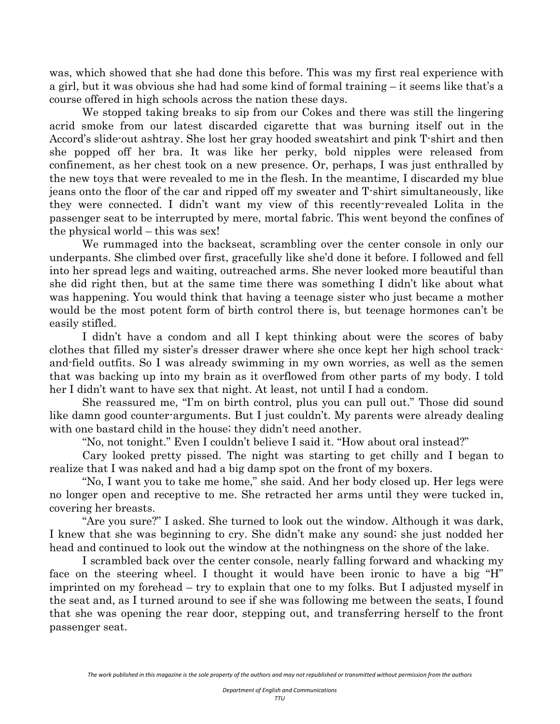was, which showed that she had done this before. This was my first real experience with a girl, but it was obvious she had had some kind of formal training – it seems like that's a course offered in high schools across the nation these days.

 We stopped taking breaks to sip from our Cokes and there was still the lingering acrid smoke from our latest discarded cigarette that was burning itself out in the Accord's slide-out ashtray. She lost her gray hooded sweatshirt and pink T-shirt and then she popped off her bra. It was like her perky, bold nipples were released from confinement, as her chest took on a new presence. Or, perhaps, I was just enthralled by the new toys that were revealed to me in the flesh. In the meantime, I discarded my blue jeans onto the floor of the car and ripped off my sweater and T-shirt simultaneously, like they were connected. I didn't want my view of this recently-revealed Lolita in the passenger seat to be interrupted by mere, mortal fabric. This went beyond the confines of the physical world – this was sex!

 We rummaged into the backseat, scrambling over the center console in only our underpants. She climbed over first, gracefully like she'd done it before. I followed and fell into her spread legs and waiting, outreached arms. She never looked more beautiful than she did right then, but at the same time there was something I didn't like about what was happening. You would think that having a teenage sister who just became a mother would be the most potent form of birth control there is, but teenage hormones can't be easily stifled.

 I didn't have a condom and all I kept thinking about were the scores of baby clothes that filled my sister's dresser drawer where she once kept her high school trackand-field outfits. So I was already swimming in my own worries, as well as the semen that was backing up into my brain as it overflowed from other parts of my body. I told her I didn't want to have sex that night. At least, not until I had a condom.

 She reassured me, "I'm on birth control, plus you can pull out." Those did sound like damn good counter-arguments. But I just couldn't. My parents were already dealing with one bastard child in the house; they didn't need another.

"No, not tonight." Even I couldn't believe I said it. "How about oral instead?"

 Cary looked pretty pissed. The night was starting to get chilly and I began to realize that I was naked and had a big damp spot on the front of my boxers.

 "No, I want you to take me home," she said. And her body closed up. Her legs were no longer open and receptive to me. She retracted her arms until they were tucked in, covering her breasts.

 "Are you sure?" I asked. She turned to look out the window. Although it was dark, I knew that she was beginning to cry. She didn't make any sound; she just nodded her head and continued to look out the window at the nothingness on the shore of the lake.

 I scrambled back over the center console, nearly falling forward and whacking my face on the steering wheel. I thought it would have been ironic to have a big "H" imprinted on my forehead – try to explain that one to my folks. But I adjusted myself in the seat and, as I turned around to see if she was following me between the seats, I found that she was opening the rear door, stepping out, and transferring herself to the front passenger seat.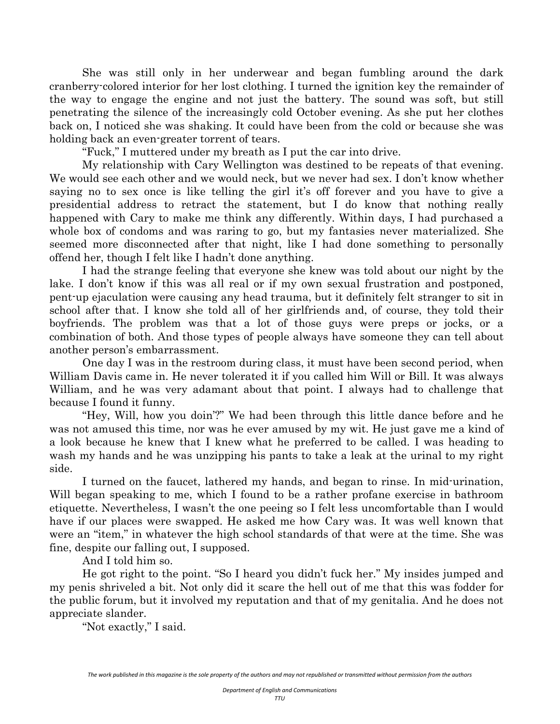She was still only in her underwear and began fumbling around the dark cranberry-colored interior for her lost clothing. I turned the ignition key the remainder of the way to engage the engine and not just the battery. The sound was soft, but still penetrating the silence of the increasingly cold October evening. As she put her clothes back on, I noticed she was shaking. It could have been from the cold or because she was holding back an even-greater torrent of tears.

"Fuck," I muttered under my breath as I put the car into drive.

 My relationship with Cary Wellington was destined to be repeats of that evening. We would see each other and we would neck, but we never had sex. I don't know whether saying no to sex once is like telling the girl it's off forever and you have to give a presidential address to retract the statement, but I do know that nothing really happened with Cary to make me think any differently. Within days, I had purchased a whole box of condoms and was raring to go, but my fantasies never materialized. She seemed more disconnected after that night, like I had done something to personally offend her, though I felt like I hadn't done anything.

 I had the strange feeling that everyone she knew was told about our night by the lake. I don't know if this was all real or if my own sexual frustration and postponed, pent-up ejaculation were causing any head trauma, but it definitely felt stranger to sit in school after that. I know she told all of her girlfriends and, of course, they told their boyfriends. The problem was that a lot of those guys were preps or jocks, or a combination of both. And those types of people always have someone they can tell about another person's embarrassment.

 One day I was in the restroom during class, it must have been second period, when William Davis came in. He never tolerated it if you called him Will or Bill. It was always William, and he was very adamant about that point. I always had to challenge that because I found it funny.

 "Hey, Will, how you doin'?" We had been through this little dance before and he was not amused this time, nor was he ever amused by my wit. He just gave me a kind of a look because he knew that I knew what he preferred to be called. I was heading to wash my hands and he was unzipping his pants to take a leak at the urinal to my right side.

 I turned on the faucet, lathered my hands, and began to rinse. In mid-urination, Will began speaking to me, which I found to be a rather profane exercise in bathroom etiquette. Nevertheless, I wasn't the one peeing so I felt less uncomfortable than I would have if our places were swapped. He asked me how Cary was. It was well known that were an "item," in whatever the high school standards of that were at the time. She was fine, despite our falling out, I supposed.

And I told him so.

 He got right to the point. "So I heard you didn't fuck her." My insides jumped and my penis shriveled a bit. Not only did it scare the hell out of me that this was fodder for the public forum, but it involved my reputation and that of my genitalia. And he does not appreciate slander.

"Not exactly," I said.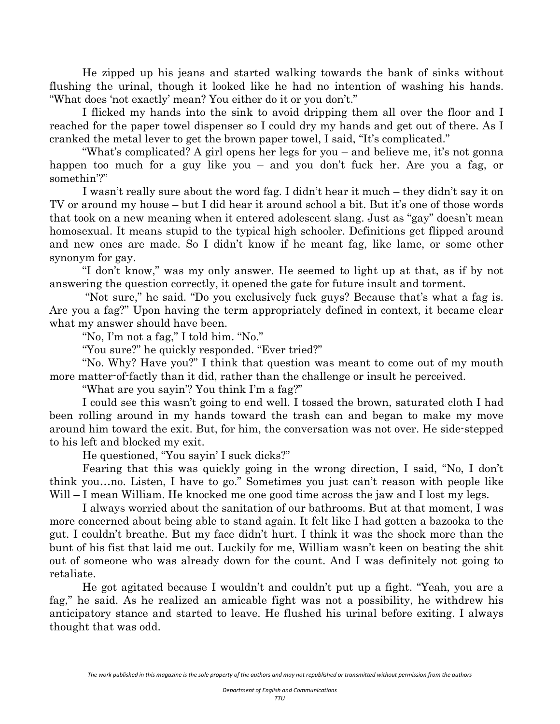He zipped up his jeans and started walking towards the bank of sinks without flushing the urinal, though it looked like he had no intention of washing his hands. "What does 'not exactly' mean? You either do it or you don't."

 I flicked my hands into the sink to avoid dripping them all over the floor and I reached for the paper towel dispenser so I could dry my hands and get out of there. As I cranked the metal lever to get the brown paper towel, I said, "It's complicated."

 "What's complicated? A girl opens her legs for you – and believe me, it's not gonna happen too much for a guy like you – and you don't fuck her. Are you a fag, or somethin'?"

 I wasn't really sure about the word fag. I didn't hear it much – they didn't say it on TV or around my house – but I did hear it around school a bit. But it's one of those words that took on a new meaning when it entered adolescent slang. Just as "gay" doesn't mean homosexual. It means stupid to the typical high schooler. Definitions get flipped around and new ones are made. So I didn't know if he meant fag, like lame, or some other synonym for gay.

 "I don't know," was my only answer. He seemed to light up at that, as if by not answering the question correctly, it opened the gate for future insult and torment.

 "Not sure," he said. "Do you exclusively fuck guys? Because that's what a fag is. Are you a fag?" Upon having the term appropriately defined in context, it became clear what my answer should have been.

"No, I'm not a fag," I told him. "No."

"You sure?" he quickly responded. "Ever tried?"

 "No. Why? Have you?" I think that question was meant to come out of my mouth more matter-of-factly than it did, rather than the challenge or insult he perceived.

"What are you sayin'? You think I'm a fag?"

 I could see this wasn't going to end well. I tossed the brown, saturated cloth I had been rolling around in my hands toward the trash can and began to make my move around him toward the exit. But, for him, the conversation was not over. He side-stepped to his left and blocked my exit.

He questioned, "You sayin' I suck dicks?"

 Fearing that this was quickly going in the wrong direction, I said, "No, I don't think you…no. Listen, I have to go." Sometimes you just can't reason with people like Will – I mean William. He knocked me one good time across the jaw and I lost my legs.

 I always worried about the sanitation of our bathrooms. But at that moment, I was more concerned about being able to stand again. It felt like I had gotten a bazooka to the gut. I couldn't breathe. But my face didn't hurt. I think it was the shock more than the bunt of his fist that laid me out. Luckily for me, William wasn't keen on beating the shit out of someone who was already down for the count. And I was definitely not going to retaliate.

 He got agitated because I wouldn't and couldn't put up a fight. "Yeah, you are a fag," he said. As he realized an amicable fight was not a possibility, he withdrew his anticipatory stance and started to leave. He flushed his urinal before exiting. I always thought that was odd.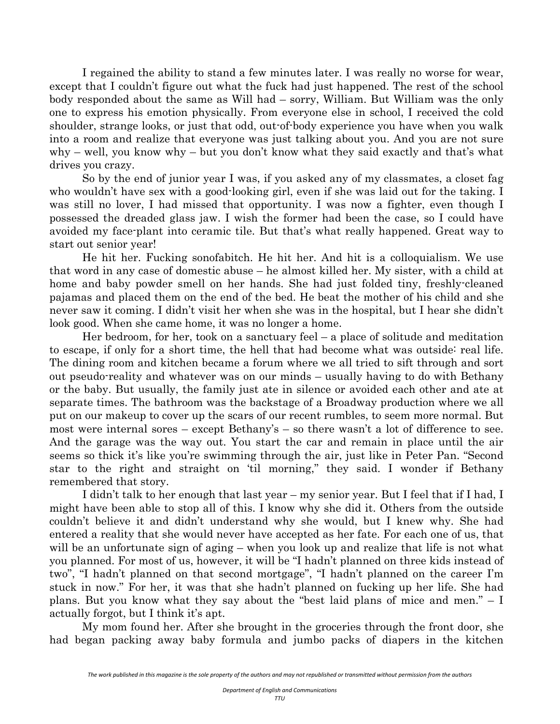I regained the ability to stand a few minutes later. I was really no worse for wear, except that I couldn't figure out what the fuck had just happened. The rest of the school body responded about the same as Will had – sorry, William. But William was the only one to express his emotion physically. From everyone else in school, I received the cold shoulder, strange looks, or just that odd, out-of-body experience you have when you walk into a room and realize that everyone was just talking about you. And you are not sure why – well, you know why – but you don't know what they said exactly and that's what drives you crazy.

 So by the end of junior year I was, if you asked any of my classmates, a closet fag who wouldn't have sex with a good-looking girl, even if she was laid out for the taking. I was still no lover, I had missed that opportunity. I was now a fighter, even though I possessed the dreaded glass jaw. I wish the former had been the case, so I could have avoided my face-plant into ceramic tile. But that's what really happened. Great way to start out senior year!

 He hit her. Fucking sonofabitch. He hit her. And hit is a colloquialism. We use that word in any case of domestic abuse – he almost killed her. My sister, with a child at home and baby powder smell on her hands. She had just folded tiny, freshly-cleaned pajamas and placed them on the end of the bed. He beat the mother of his child and she never saw it coming. I didn't visit her when she was in the hospital, but I hear she didn't look good. When she came home, it was no longer a home.

 Her bedroom, for her, took on a sanctuary feel – a place of solitude and meditation to escape, if only for a short time, the hell that had become what was outside: real life. The dining room and kitchen became a forum where we all tried to sift through and sort out pseudo-reality and whatever was on our minds – usually having to do with Bethany or the baby. But usually, the family just ate in silence or avoided each other and ate at separate times. The bathroom was the backstage of a Broadway production where we all put on our makeup to cover up the scars of our recent rumbles, to seem more normal. But most were internal sores – except Bethany's – so there wasn't a lot of difference to see. And the garage was the way out. You start the car and remain in place until the air seems so thick it's like you're swimming through the air, just like in Peter Pan. "Second star to the right and straight on 'til morning," they said. I wonder if Bethany remembered that story.

 I didn't talk to her enough that last year – my senior year. But I feel that if I had, I might have been able to stop all of this. I know why she did it. Others from the outside couldn't believe it and didn't understand why she would, but I knew why. She had entered a reality that she would never have accepted as her fate. For each one of us, that will be an unfortunate sign of aging – when you look up and realize that life is not what you planned. For most of us, however, it will be "I hadn't planned on three kids instead of two", "I hadn't planned on that second mortgage", "I hadn't planned on the career I'm stuck in now." For her, it was that she hadn't planned on fucking up her life. She had plans. But you know what they say about the "best laid plans of mice and men." – I actually forgot, but I think it's apt.

 My mom found her. After she brought in the groceries through the front door, she had began packing away baby formula and jumbo packs of diapers in the kitchen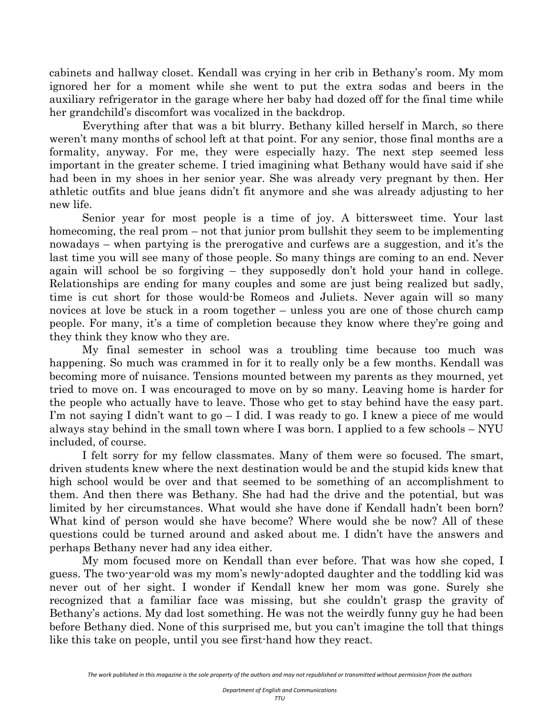cabinets and hallway closet. Kendall was crying in her crib in Bethany's room. My mom ignored her for a moment while she went to put the extra sodas and beers in the auxiliary refrigerator in the garage where her baby had dozed off for the final time while her grandchild's discomfort was vocalized in the backdrop.

 Everything after that was a bit blurry. Bethany killed herself in March, so there weren't many months of school left at that point. For any senior, those final months are a formality, anyway. For me, they were especially hazy. The next step seemed less important in the greater scheme. I tried imagining what Bethany would have said if she had been in my shoes in her senior year. She was already very pregnant by then. Her athletic outfits and blue jeans didn't fit anymore and she was already adjusting to her new life.

 Senior year for most people is a time of joy. A bittersweet time. Your last homecoming, the real prom – not that junior prom bullshit they seem to be implementing nowadays – when partying is the prerogative and curfews are a suggestion, and it's the last time you will see many of those people. So many things are coming to an end. Never again will school be so forgiving – they supposedly don't hold your hand in college. Relationships are ending for many couples and some are just being realized but sadly, time is cut short for those would-be Romeos and Juliets. Never again will so many novices at love be stuck in a room together – unless you are one of those church camp people. For many, it's a time of completion because they know where they're going and they think they know who they are.

 My final semester in school was a troubling time because too much was happening. So much was crammed in for it to really only be a few months. Kendall was becoming more of nuisance. Tensions mounted between my parents as they mourned, yet tried to move on. I was encouraged to move on by so many. Leaving home is harder for the people who actually have to leave. Those who get to stay behind have the easy part. I'm not saying I didn't want to  $g_0 - I$  did. I was ready to go. I knew a piece of me would always stay behind in the small town where I was born. I applied to a few schools – NYU included, of course.

 I felt sorry for my fellow classmates. Many of them were so focused. The smart, driven students knew where the next destination would be and the stupid kids knew that high school would be over and that seemed to be something of an accomplishment to them. And then there was Bethany. She had had the drive and the potential, but was limited by her circumstances. What would she have done if Kendall hadn't been born? What kind of person would she have become? Where would she be now? All of these questions could be turned around and asked about me. I didn't have the answers and perhaps Bethany never had any idea either.

 My mom focused more on Kendall than ever before. That was how she coped, I guess. The two-year-old was my mom's newly-adopted daughter and the toddling kid was never out of her sight. I wonder if Kendall knew her mom was gone. Surely she recognized that a familiar face was missing, but she couldn't grasp the gravity of Bethany's actions. My dad lost something. He was not the weirdly funny guy he had been before Bethany died. None of this surprised me, but you can't imagine the toll that things like this take on people, until you see first-hand how they react.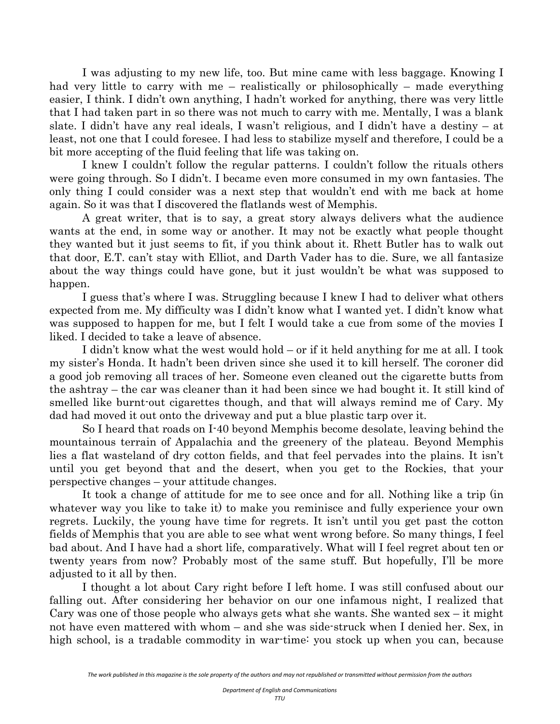I was adjusting to my new life, too. But mine came with less baggage. Knowing I had very little to carry with me – realistically or philosophically – made everything easier, I think. I didn't own anything, I hadn't worked for anything, there was very little that I had taken part in so there was not much to carry with me. Mentally, I was a blank slate. I didn't have any real ideals, I wasn't religious, and I didn't have a destiny – at least, not one that I could foresee. I had less to stabilize myself and therefore, I could be a bit more accepting of the fluid feeling that life was taking on.

 I knew I couldn't follow the regular patterns. I couldn't follow the rituals others were going through. So I didn't. I became even more consumed in my own fantasies. The only thing I could consider was a next step that wouldn't end with me back at home again. So it was that I discovered the flatlands west of Memphis.

 A great writer, that is to say, a great story always delivers what the audience wants at the end, in some way or another. It may not be exactly what people thought they wanted but it just seems to fit, if you think about it. Rhett Butler has to walk out that door, E.T. can't stay with Elliot, and Darth Vader has to die. Sure, we all fantasize about the way things could have gone, but it just wouldn't be what was supposed to happen.

 I guess that's where I was. Struggling because I knew I had to deliver what others expected from me. My difficulty was I didn't know what I wanted yet. I didn't know what was supposed to happen for me, but I felt I would take a cue from some of the movies I liked. I decided to take a leave of absence.

 I didn't know what the west would hold – or if it held anything for me at all. I took my sister's Honda. It hadn't been driven since she used it to kill herself. The coroner did a good job removing all traces of her. Someone even cleaned out the cigarette butts from the ashtray – the car was cleaner than it had been since we had bought it. It still kind of smelled like burnt-out cigarettes though, and that will always remind me of Cary. My dad had moved it out onto the driveway and put a blue plastic tarp over it.

 So I heard that roads on I-40 beyond Memphis become desolate, leaving behind the mountainous terrain of Appalachia and the greenery of the plateau. Beyond Memphis lies a flat wasteland of dry cotton fields, and that feel pervades into the plains. It isn't until you get beyond that and the desert, when you get to the Rockies, that your perspective changes – your attitude changes.

 It took a change of attitude for me to see once and for all. Nothing like a trip (in whatever way you like to take it) to make you reminisce and fully experience your own regrets. Luckily, the young have time for regrets. It isn't until you get past the cotton fields of Memphis that you are able to see what went wrong before. So many things, I feel bad about. And I have had a short life, comparatively. What will I feel regret about ten or twenty years from now? Probably most of the same stuff. But hopefully, I'll be more adjusted to it all by then.

 I thought a lot about Cary right before I left home. I was still confused about our falling out. After considering her behavior on our one infamous night, I realized that Cary was one of those people who always gets what she wants. She wanted sex – it might not have even mattered with whom – and she was side-struck when I denied her. Sex, in high school, is a tradable commodity in war-time: you stock up when you can, because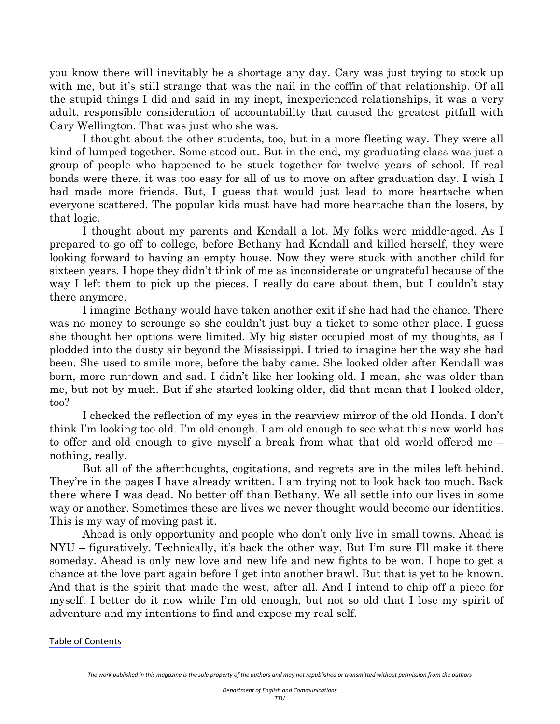you know there will inevitably be a shortage any day. Cary was just trying to stock up with me, but it's still strange that was the nail in the coffin of that relationship. Of all the stupid things I did and said in my inept, inexperienced relationships, it was a very adult, responsible consideration of accountability that caused the greatest pitfall with Cary Wellington. That was just who she was.

 I thought about the other students, too, but in a more fleeting way. They were all kind of lumped together. Some stood out. But in the end, my graduating class was just a group of people who happened to be stuck together for twelve years of school. If real bonds were there, it was too easy for all of us to move on after graduation day. I wish I had made more friends. But, I guess that would just lead to more heartache when everyone scattered. The popular kids must have had more heartache than the losers, by that logic.

 I thought about my parents and Kendall a lot. My folks were middle-aged. As I prepared to go off to college, before Bethany had Kendall and killed herself, they were looking forward to having an empty house. Now they were stuck with another child for sixteen years. I hope they didn't think of me as inconsiderate or ungrateful because of the way I left them to pick up the pieces. I really do care about them, but I couldn't stay there anymore.

 I imagine Bethany would have taken another exit if she had had the chance. There was no money to scrounge so she couldn't just buy a ticket to some other place. I guess she thought her options were limited. My big sister occupied most of my thoughts, as I plodded into the dusty air beyond the Mississippi. I tried to imagine her the way she had been. She used to smile more, before the baby came. She looked older after Kendall was born, more run-down and sad. I didn't like her looking old. I mean, she was older than me, but not by much. But if she started looking older, did that mean that I looked older, too?

 I checked the reflection of my eyes in the rearview mirror of the old Honda. I don't think I'm looking too old. I'm old enough. I am old enough to see what this new world has to offer and old enough to give myself a break from what that old world offered me – nothing, really.

 But all of the afterthoughts, cogitations, and regrets are in the miles left behind. They're in the pages I have already written. I am trying not to look back too much. Back there where I was dead. No better off than Bethany. We all settle into our lives in some way or another. Sometimes these are lives we never thought would become our identities. This is my way of moving past it.

 Ahead is only opportunity and people who don't only live in small towns. Ahead is NYU – figuratively. Technically, it's back the other way. But I'm sure I'll make it there someday. Ahead is only new love and new life and new fights to be won. I hope to get a chance at the love part again before I get into another brawl. But that is yet to be known. And that is the spirit that made the west, after all. And I intend to chip off a piece for myself. I better do it now while I'm old enough, but not so old that I lose my spirit of adventure and my intentions to find and expose my real self.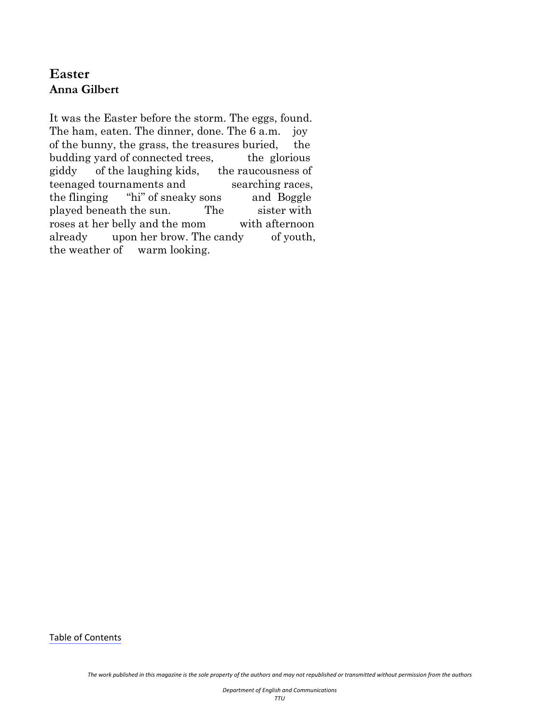# <span id="page-18-0"></span>**Easter Anna Gilbert**

It was the Easter before the storm. The eggs, found. The ham, eaten. The dinner, done. The 6 a.m. joy of the bunny, the grass, the treasures buried, the budding yard of connected trees, the glorious giddy of the laughing kids, the raucousness of teenaged tournaments and searching races, the flinging "hi" of sneaky sons and Boggle played beneath the sun. The sister with roses at her belly and the mom with afternoon already upon her brow. The candy of youth, the weather of warm looking.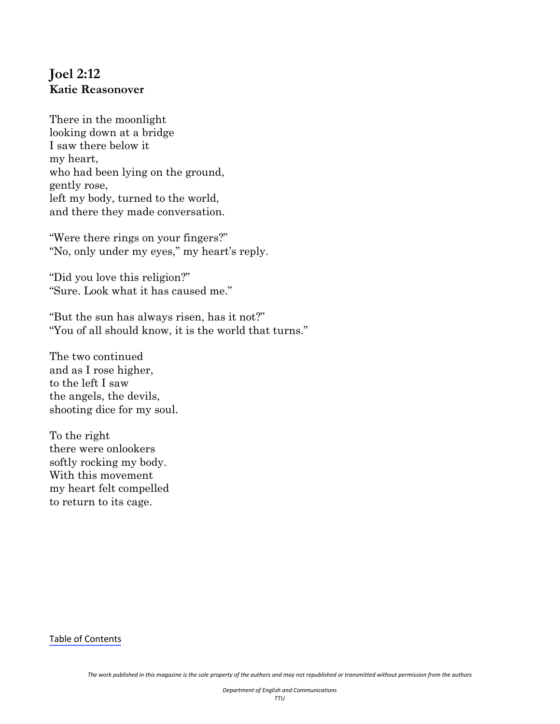# <span id="page-19-0"></span>**Joel 2:12 Katie Reasonover**

There in the moonlight looking down at a bridge I saw there below it my heart, who had been lying on the ground, gently rose, left my body, turned to the world, and there they made conversation.

"Were there rings on your fingers?" "No, only under my eyes," my heart's reply.

"Did you love this religion?" "Sure. Look what it has caused me."

"But the sun has always risen, has it not?" "You of all should know, it is the world that turns."

The two continued and as I rose higher, to the left I saw the angels, the devils, shooting dice for my soul.

To the right there were onlookers softly rocking my body. With this movement my heart felt compelled to return to its cage.

Table of [Contents](#page-1-0)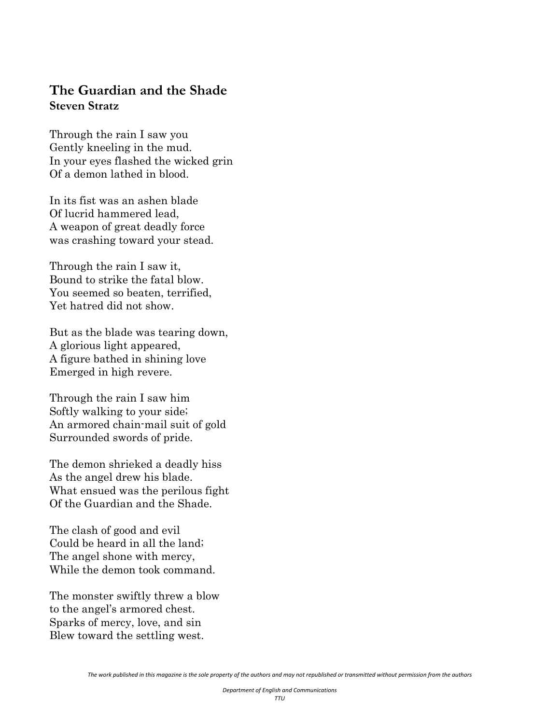#### <span id="page-20-0"></span>**The Guardian and the Shade Steven Stratz**

Through the rain I saw you Gently kneeling in the mud. In your eyes flashed the wicked grin Of a demon lathed in blood.

In its fist was an ashen blade Of lucrid hammered lead, A weapon of great deadly force was crashing toward your stead.

Through the rain I saw it, Bound to strike the fatal blow. You seemed so beaten, terrified, Yet hatred did not show.

But as the blade was tearing down, A glorious light appeared, A figure bathed in shining love Emerged in high revere.

Through the rain I saw him Softly walking to your side; An armored chain-mail suit of gold Surrounded swords of pride.

The demon shrieked a deadly hiss As the angel drew his blade. What ensued was the perilous fight Of the Guardian and the Shade.

The clash of good and evil Could be heard in all the land; The angel shone with mercy, While the demon took command.

The monster swiftly threw a blow to the angel's armored chest. Sparks of mercy, love, and sin Blew toward the settling west.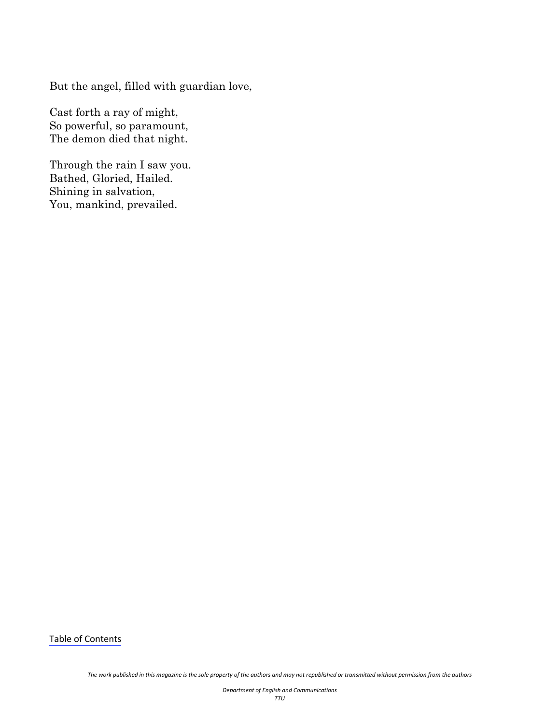But the angel, filled with guardian love,

Cast forth a ray of might, So powerful, so paramount, The demon died that night.

Through the rain I saw you. Bathed, Gloried, Hailed. Shining in salvation, You, mankind, prevailed.

Table of [Contents](#page-1-0)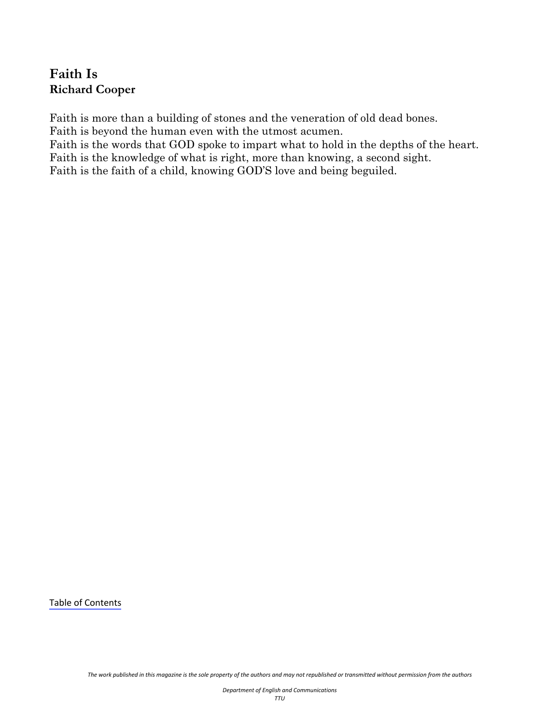# <span id="page-22-0"></span>**Faith Is Richard Cooper**

Faith is more than a building of stones and the veneration of old dead bones.

Faith is beyond the human even with the utmost acumen.

Faith is the words that GOD spoke to impart what to hold in the depths of the heart. Faith is the knowledge of what is right, more than knowing, a second sight.

Faith is the faith of a child, knowing GOD'S love and being beguiled.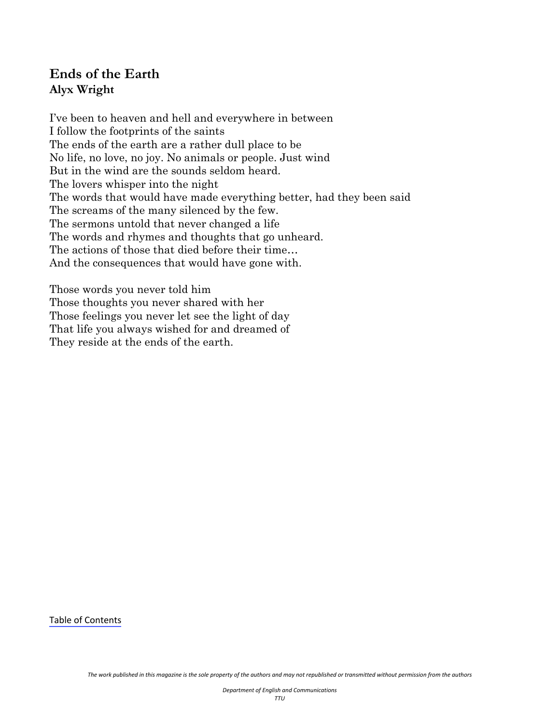# <span id="page-23-0"></span>**Ends of the Earth Alyx Wright**

I've been to heaven and hell and everywhere in between I follow the footprints of the saints The ends of the earth are a rather dull place to be No life, no love, no joy. No animals or people. Just wind But in the wind are the sounds seldom heard. The lovers whisper into the night The words that would have made everything better, had they been said The screams of the many silenced by the few. The sermons untold that never changed a life The words and rhymes and thoughts that go unheard. The actions of those that died before their time… And the consequences that would have gone with.

Those words you never told him Those thoughts you never shared with her Those feelings you never let see the light of day That life you always wished for and dreamed of They reside at the ends of the earth.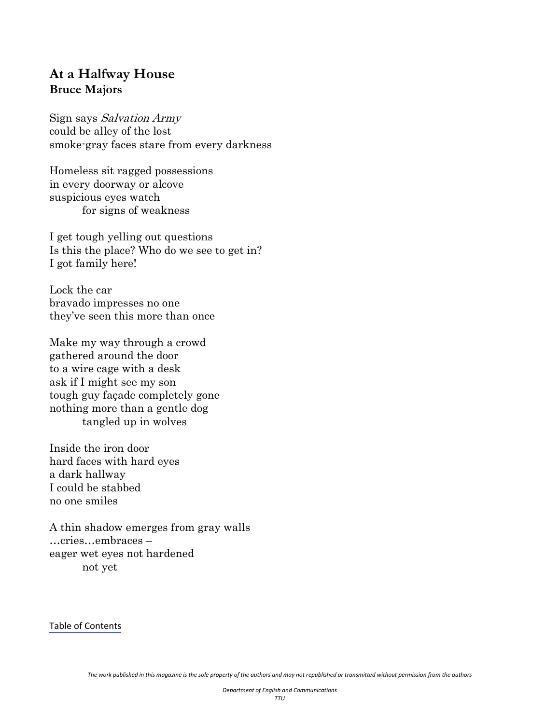#### <span id="page-24-0"></span>**At a Halfway House Bruce Majors**

Sign says Salvation Army could be alley of the lost smoke-gray faces stare from every darkness

Homeless sit ragged possessions in every doorway or alcove suspicious eyes watch for signs of weakness

I get tough yelling out questions Is this the place? Who do we see to get in? I got family here!

Lock the car bravado impresses no one they've seen this more than once

Make my way through a crowd gathered around the door to a wire cage with a desk ask if I might see my son tough guy façade completely gone nothing more than a gentle dog tangled up in wolves

Inside the iron door hard faces with hard eyes a dark hallway I could be stabbed no one smiles

A thin shadow emerges from gray walls …cries…embraces – eager wet eyes not hardened not yet

Table of [Contents](#page-1-0)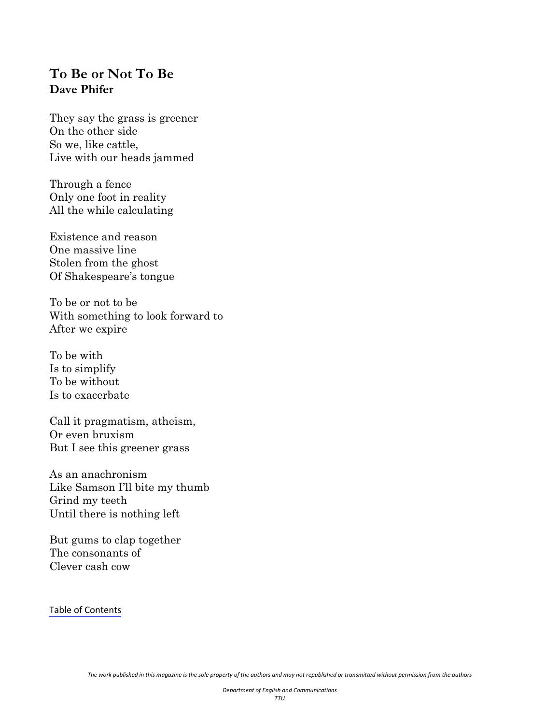## <span id="page-25-0"></span>**To Be or Not To Be Dave Phifer**

They say the grass is greener On the other side So we, like cattle, Live with our heads jammed

Through a fence Only one foot in reality All the while calculating

Existence and reason One massive line Stolen from the ghost Of Shakespeare's tongue

To be or not to be With something to look forward to After we expire

To be with Is to simplify To be without Is to exacerbate

Call it pragmatism, atheism, Or even bruxism But I see this greener grass

As an anachronism Like Samson I'll bite my thumb Grind my teeth Until there is nothing left

But gums to clap together The consonants of Clever cash cow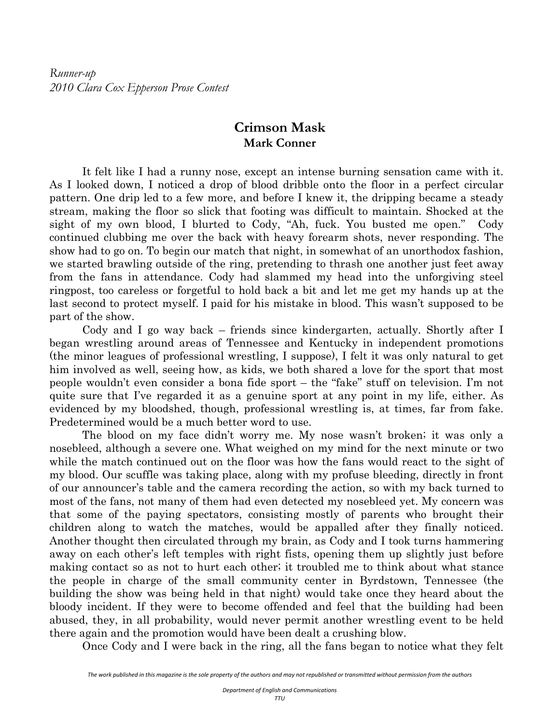#### **Crimson Mask Mark Conner**

<span id="page-26-0"></span>It felt like I had a runny nose, except an intense burning sensation came with it. As I looked down, I noticed a drop of blood dribble onto the floor in a perfect circular pattern. One drip led to a few more, and before I knew it, the dripping became a steady stream, making the floor so slick that footing was difficult to maintain. Shocked at the sight of my own blood, I blurted to Cody, "Ah, fuck. You busted me open." Cody continued clubbing me over the back with heavy forearm shots, never responding. The show had to go on. To begin our match that night, in somewhat of an unorthodox fashion, we started brawling outside of the ring, pretending to thrash one another just feet away from the fans in attendance. Cody had slammed my head into the unforgiving steel ringpost, too careless or forgetful to hold back a bit and let me get my hands up at the last second to protect myself. I paid for his mistake in blood. This wasn't supposed to be part of the show.

 Cody and I go way back – friends since kindergarten, actually. Shortly after I began wrestling around areas of Tennessee and Kentucky in independent promotions (the minor leagues of professional wrestling, I suppose), I felt it was only natural to get him involved as well, seeing how, as kids, we both shared a love for the sport that most people wouldn't even consider a bona fide sport – the "fake" stuff on television. I'm not quite sure that I've regarded it as a genuine sport at any point in my life, either. As evidenced by my bloodshed, though, professional wrestling is, at times, far from fake. Predetermined would be a much better word to use.

 The blood on my face didn't worry me. My nose wasn't broken; it was only a nosebleed, although a severe one. What weighed on my mind for the next minute or two while the match continued out on the floor was how the fans would react to the sight of my blood. Our scuffle was taking place, along with my profuse bleeding, directly in front of our announcer's table and the camera recording the action, so with my back turned to most of the fans, not many of them had even detected my nosebleed yet. My concern was that some of the paying spectators, consisting mostly of parents who brought their children along to watch the matches, would be appalled after they finally noticed. Another thought then circulated through my brain, as Cody and I took turns hammering away on each other's left temples with right fists, opening them up slightly just before making contact so as not to hurt each other; it troubled me to think about what stance the people in charge of the small community center in Byrdstown, Tennessee (the building the show was being held in that night) would take once they heard about the bloody incident. If they were to become offended and feel that the building had been abused, they, in all probability, would never permit another wrestling event to be held there again and the promotion would have been dealt a crushing blow.

Once Cody and I were back in the ring, all the fans began to notice what they felt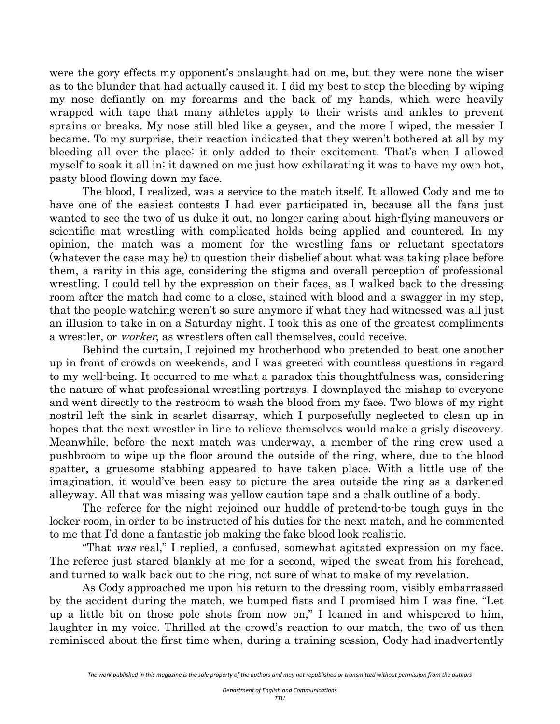were the gory effects my opponent's onslaught had on me, but they were none the wiser as to the blunder that had actually caused it. I did my best to stop the bleeding by wiping my nose defiantly on my forearms and the back of my hands, which were heavily wrapped with tape that many athletes apply to their wrists and ankles to prevent sprains or breaks. My nose still bled like a geyser, and the more I wiped, the messier I became. To my surprise, their reaction indicated that they weren't bothered at all by my bleeding all over the place; it only added to their excitement. That's when I allowed myself to soak it all in; it dawned on me just how exhilarating it was to have my own hot, pasty blood flowing down my face.

 The blood, I realized, was a service to the match itself. It allowed Cody and me to have one of the easiest contests I had ever participated in, because all the fans just wanted to see the two of us duke it out, no longer caring about high-flying maneuvers or scientific mat wrestling with complicated holds being applied and countered. In my opinion, the match was a moment for the wrestling fans or reluctant spectators (whatever the case may be) to question their disbelief about what was taking place before them, a rarity in this age, considering the stigma and overall perception of professional wrestling. I could tell by the expression on their faces, as I walked back to the dressing room after the match had come to a close, stained with blood and a swagger in my step, that the people watching weren't so sure anymore if what they had witnessed was all just an illusion to take in on a Saturday night. I took this as one of the greatest compliments a wrestler, or worker, as wrestlers often call themselves, could receive.

 Behind the curtain, I rejoined my brotherhood who pretended to beat one another up in front of crowds on weekends, and I was greeted with countless questions in regard to my well-being. It occurred to me what a paradox this thoughtfulness was, considering the nature of what professional wrestling portrays. I downplayed the mishap to everyone and went directly to the restroom to wash the blood from my face. Two blows of my right nostril left the sink in scarlet disarray, which I purposefully neglected to clean up in hopes that the next wrestler in line to relieve themselves would make a grisly discovery. Meanwhile, before the next match was underway, a member of the ring crew used a pushbroom to wipe up the floor around the outside of the ring, where, due to the blood spatter, a gruesome stabbing appeared to have taken place. With a little use of the imagination, it would've been easy to picture the area outside the ring as a darkened alleyway. All that was missing was yellow caution tape and a chalk outline of a body.

 The referee for the night rejoined our huddle of pretend-to-be tough guys in the locker room, in order to be instructed of his duties for the next match, and he commented to me that I'd done a fantastic job making the fake blood look realistic.

"That was real," I replied, a confused, somewhat agitated expression on my face. The referee just stared blankly at me for a second, wiped the sweat from his forehead, and turned to walk back out to the ring, not sure of what to make of my revelation.

As Cody approached me upon his return to the dressing room, visibly embarrassed by the accident during the match, we bumped fists and I promised him I was fine. "Let up a little bit on those pole shots from now on," I leaned in and whispered to him, laughter in my voice. Thrilled at the crowd's reaction to our match, the two of us then reminisced about the first time when, during a training session, Cody had inadvertently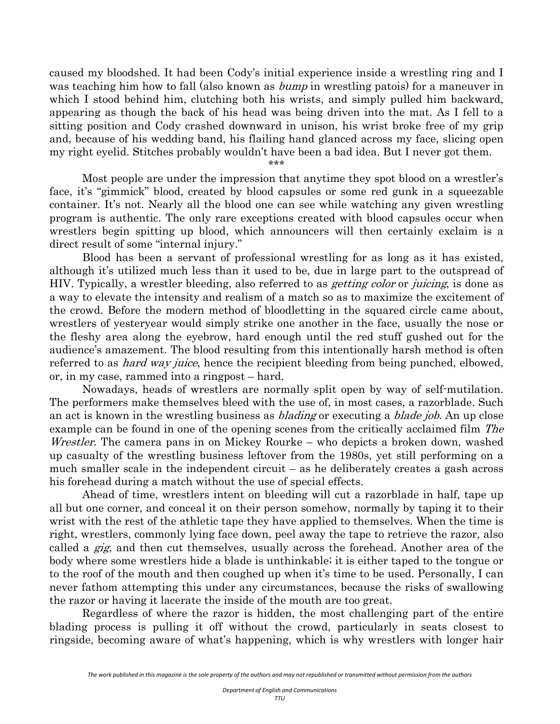caused my bloodshed. It had been Cody's initial experience inside a wrestling ring and I was teaching him how to fall (also known as *bump* in wrestling patois) for a maneuver in which I stood behind him, clutching both his wrists, and simply pulled him backward, appearing as though the back of his head was being driven into the mat. As I fell to a sitting position and Cody crashed downward in unison, his wrist broke free of my grip and, because of his wedding band, his flailing hand glanced across my face, slicing open my right eyelid. Stitches probably wouldn't have been a bad idea. But I never got them.

\*\*\*

 Most people are under the impression that anytime they spot blood on a wrestler's face, it's "gimmick" blood, created by blood capsules or some red gunk in a squeezable container. It's not. Nearly all the blood one can see while watching any given wrestling program is authentic. The only rare exceptions created with blood capsules occur when wrestlers begin spitting up blood, which announcers will then certainly exclaim is a direct result of some "internal injury."

 Blood has been a servant of professional wrestling for as long as it has existed, although it's utilized much less than it used to be, due in large part to the outspread of HIV. Typically, a wrestler bleeding, also referred to as *getting color* or *juicing*, is done as a way to elevate the intensity and realism of a match so as to maximize the excitement of the crowd. Before the modern method of bloodletting in the squared circle came about, wrestlers of yesteryear would simply strike one another in the face, usually the nose or the fleshy area along the eyebrow, hard enough until the red stuff gushed out for the audience's amazement. The blood resulting from this intentionally harsh method is often referred to as *hard way juice*, hence the recipient bleeding from being punched, elbowed, or, in my case, rammed into a ringpost – hard.

 Nowadays, heads of wrestlers are normally split open by way of self-mutilation. The performers make themselves bleed with the use of, in most cases, a razorblade. Such an act is known in the wrestling business as *blading* or executing a *blade job*. An up close example can be found in one of the opening scenes from the critically acclaimed film The Wrestler. The camera pans in on Mickey Rourke – who depicts a broken down, washed up casualty of the wrestling business leftover from the 1980s, yet still performing on a much smaller scale in the independent circuit – as he deliberately creates a gash across his forehead during a match without the use of special effects.

 Ahead of time, wrestlers intent on bleeding will cut a razorblade in half, tape up all but one corner, and conceal it on their person somehow, normally by taping it to their wrist with the rest of the athletic tape they have applied to themselves. When the time is right, wrestlers, commonly lying face down, peel away the tape to retrieve the razor, also called a gig, and then cut themselves, usually across the forehead. Another area of the body where some wrestlers hide a blade is unthinkable; it is either taped to the tongue or to the roof of the mouth and then coughed up when it's time to be used. Personally, I can never fathom attempting this under any circumstances, because the risks of swallowing the razor or having it lacerate the inside of the mouth are too great.

 Regardless of where the razor is hidden, the most challenging part of the entire blading process is pulling it off without the crowd, particularly in seats closest to ringside, becoming aware of what's happening, which is why wrestlers with longer hair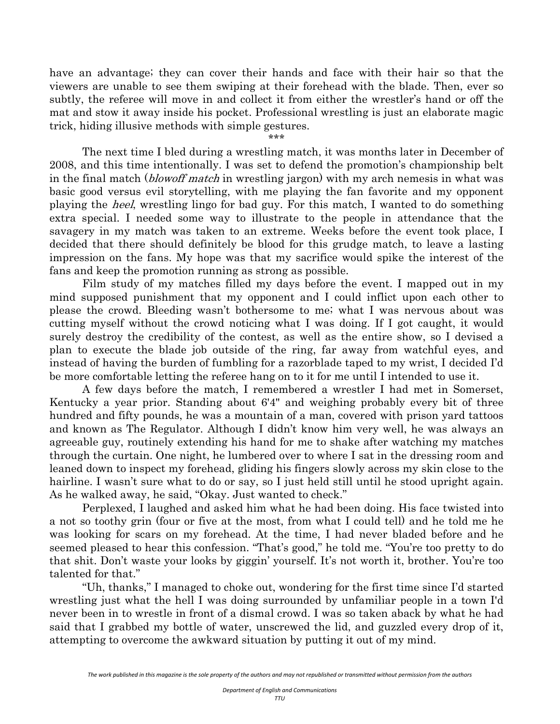have an advantage; they can cover their hands and face with their hair so that the viewers are unable to see them swiping at their forehead with the blade. Then, ever so subtly, the referee will move in and collect it from either the wrestler's hand or off the mat and stow it away inside his pocket. Professional wrestling is just an elaborate magic trick, hiding illusive methods with simple gestures.

\*\*\*

 The next time I bled during a wrestling match, it was months later in December of 2008, and this time intentionally. I was set to defend the promotion's championship belt in the final match (*blowoff match* in wrestling jargon) with my arch nemesis in what was basic good versus evil storytelling, with me playing the fan favorite and my opponent playing the *heel*, wrestling lingo for bad guy. For this match, I wanted to do something extra special. I needed some way to illustrate to the people in attendance that the savagery in my match was taken to an extreme. Weeks before the event took place, I decided that there should definitely be blood for this grudge match, to leave a lasting impression on the fans. My hope was that my sacrifice would spike the interest of the fans and keep the promotion running as strong as possible.

 Film study of my matches filled my days before the event. I mapped out in my mind supposed punishment that my opponent and I could inflict upon each other to please the crowd. Bleeding wasn't bothersome to me; what I was nervous about was cutting myself without the crowd noticing what I was doing. If I got caught, it would surely destroy the credibility of the contest, as well as the entire show, so I devised a plan to execute the blade job outside of the ring, far away from watchful eyes, and instead of having the burden of fumbling for a razorblade taped to my wrist, I decided I'd be more comfortable letting the referee hang on to it for me until I intended to use it.

 A few days before the match, I remembered a wrestler I had met in Somerset, Kentucky a year prior. Standing about 6'4" and weighing probably every bit of three hundred and fifty pounds, he was a mountain of a man, covered with prison yard tattoos and known as The Regulator. Although I didn't know him very well, he was always an agreeable guy, routinely extending his hand for me to shake after watching my matches through the curtain. One night, he lumbered over to where I sat in the dressing room and leaned down to inspect my forehead, gliding his fingers slowly across my skin close to the hairline. I wasn't sure what to do or say, so I just held still until he stood upright again. As he walked away, he said, "Okay. Just wanted to check."

 Perplexed, I laughed and asked him what he had been doing. His face twisted into a not so toothy grin (four or five at the most, from what I could tell) and he told me he was looking for scars on my forehead. At the time, I had never bladed before and he seemed pleased to hear this confession. "That's good," he told me. "You're too pretty to do that shit. Don't waste your looks by giggin' yourself. It's not worth it, brother. You're too talented for that."

 "Uh, thanks," I managed to choke out, wondering for the first time since I'd started wrestling just what the hell I was doing surrounded by unfamiliar people in a town I'd never been in to wrestle in front of a dismal crowd. I was so taken aback by what he had said that I grabbed my bottle of water, unscrewed the lid, and guzzled every drop of it, attempting to overcome the awkward situation by putting it out of my mind.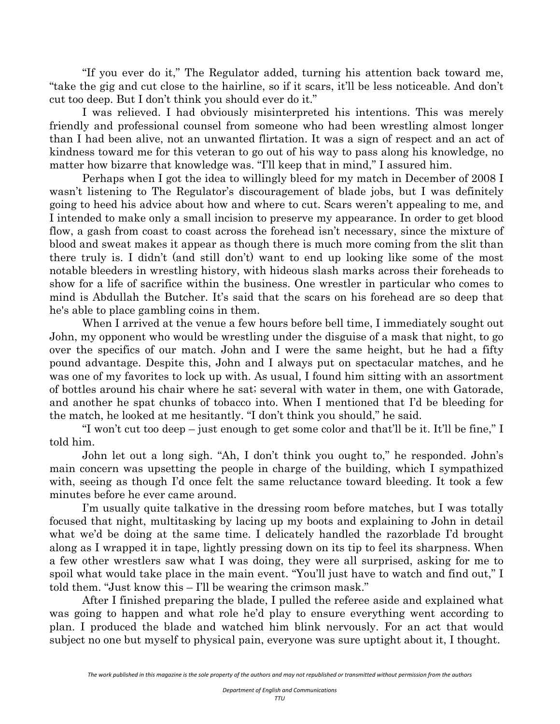"If you ever do it," The Regulator added, turning his attention back toward me, "take the gig and cut close to the hairline, so if it scars, it'll be less noticeable. And don't cut too deep. But I don't think you should ever do it."

 I was relieved. I had obviously misinterpreted his intentions. This was merely friendly and professional counsel from someone who had been wrestling almost longer than I had been alive, not an unwanted flirtation. It was a sign of respect and an act of kindness toward me for this veteran to go out of his way to pass along his knowledge, no matter how bizarre that knowledge was. "I'll keep that in mind," I assured him.

 Perhaps when I got the idea to willingly bleed for my match in December of 2008 I wasn't listening to The Regulator's discouragement of blade jobs, but I was definitely going to heed his advice about how and where to cut. Scars weren't appealing to me, and I intended to make only a small incision to preserve my appearance. In order to get blood flow, a gash from coast to coast across the forehead isn't necessary, since the mixture of blood and sweat makes it appear as though there is much more coming from the slit than there truly is. I didn't (and still don't) want to end up looking like some of the most notable bleeders in wrestling history, with hideous slash marks across their foreheads to show for a life of sacrifice within the business. One wrestler in particular who comes to mind is Abdullah the Butcher. It's said that the scars on his forehead are so deep that he's able to place gambling coins in them.

 When I arrived at the venue a few hours before bell time, I immediately sought out John, my opponent who would be wrestling under the disguise of a mask that night, to go over the specifics of our match. John and I were the same height, but he had a fifty pound advantage. Despite this, John and I always put on spectacular matches, and he was one of my favorites to lock up with. As usual, I found him sitting with an assortment of bottles around his chair where he sat; several with water in them, one with Gatorade, and another he spat chunks of tobacco into. When I mentioned that I'd be bleeding for the match, he looked at me hesitantly. "I don't think you should," he said.

 "I won't cut too deep – just enough to get some color and that'll be it. It'll be fine," I told him.

 John let out a long sigh. "Ah, I don't think you ought to," he responded. John's main concern was upsetting the people in charge of the building, which I sympathized with, seeing as though I'd once felt the same reluctance toward bleeding. It took a few minutes before he ever came around.

 I'm usually quite talkative in the dressing room before matches, but I was totally focused that night, multitasking by lacing up my boots and explaining to John in detail what we'd be doing at the same time. I delicately handled the razorblade I'd brought along as I wrapped it in tape, lightly pressing down on its tip to feel its sharpness. When a few other wrestlers saw what I was doing, they were all surprised, asking for me to spoil what would take place in the main event. "You'll just have to watch and find out," I told them. "Just know this – I'll be wearing the crimson mask."

 After I finished preparing the blade, I pulled the referee aside and explained what was going to happen and what role he'd play to ensure everything went according to plan. I produced the blade and watched him blink nervously. For an act that would subject no one but myself to physical pain, everyone was sure uptight about it, I thought.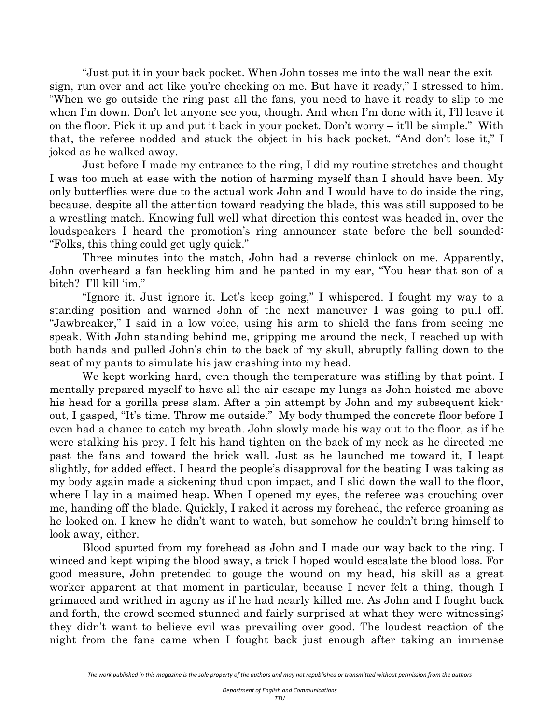"Just put it in your back pocket. When John tosses me into the wall near the exit sign, run over and act like you're checking on me. But have it ready," I stressed to him. "When we go outside the ring past all the fans, you need to have it ready to slip to me when I'm down. Don't let anyone see you, though. And when I'm done with it, I'll leave it on the floor. Pick it up and put it back in your pocket. Don't worry – it'll be simple." With that, the referee nodded and stuck the object in his back pocket. "And don't lose it," I joked as he walked away.

 Just before I made my entrance to the ring, I did my routine stretches and thought I was too much at ease with the notion of harming myself than I should have been. My only butterflies were due to the actual work John and I would have to do inside the ring, because, despite all the attention toward readying the blade, this was still supposed to be a wrestling match. Knowing full well what direction this contest was headed in, over the loudspeakers I heard the promotion's ring announcer state before the bell sounded: "Folks, this thing could get ugly quick."

 Three minutes into the match, John had a reverse chinlock on me. Apparently, John overheard a fan heckling him and he panted in my ear, "You hear that son of a bitch? I'll kill 'im."

 "Ignore it. Just ignore it. Let's keep going," I whispered. I fought my way to a standing position and warned John of the next maneuver I was going to pull off. "Jawbreaker," I said in a low voice, using his arm to shield the fans from seeing me speak. With John standing behind me, gripping me around the neck, I reached up with both hands and pulled John's chin to the back of my skull, abruptly falling down to the seat of my pants to simulate his jaw crashing into my head.

 We kept working hard, even though the temperature was stifling by that point. I mentally prepared myself to have all the air escape my lungs as John hoisted me above his head for a gorilla press slam. After a pin attempt by John and my subsequent kickout, I gasped, "It's time. Throw me outside." My body thumped the concrete floor before I even had a chance to catch my breath. John slowly made his way out to the floor, as if he were stalking his prey. I felt his hand tighten on the back of my neck as he directed me past the fans and toward the brick wall. Just as he launched me toward it, I leapt slightly, for added effect. I heard the people's disapproval for the beating I was taking as my body again made a sickening thud upon impact, and I slid down the wall to the floor, where I lay in a maimed heap. When I opened my eyes, the referee was crouching over me, handing off the blade. Quickly, I raked it across my forehead, the referee groaning as he looked on. I knew he didn't want to watch, but somehow he couldn't bring himself to look away, either.

 Blood spurted from my forehead as John and I made our way back to the ring. I winced and kept wiping the blood away, a trick I hoped would escalate the blood loss. For good measure, John pretended to gouge the wound on my head, his skill as a great worker apparent at that moment in particular, because I never felt a thing, though I grimaced and writhed in agony as if he had nearly killed me. As John and I fought back and forth, the crowd seemed stunned and fairly surprised at what they were witnessing; they didn't want to believe evil was prevailing over good. The loudest reaction of the night from the fans came when I fought back just enough after taking an immense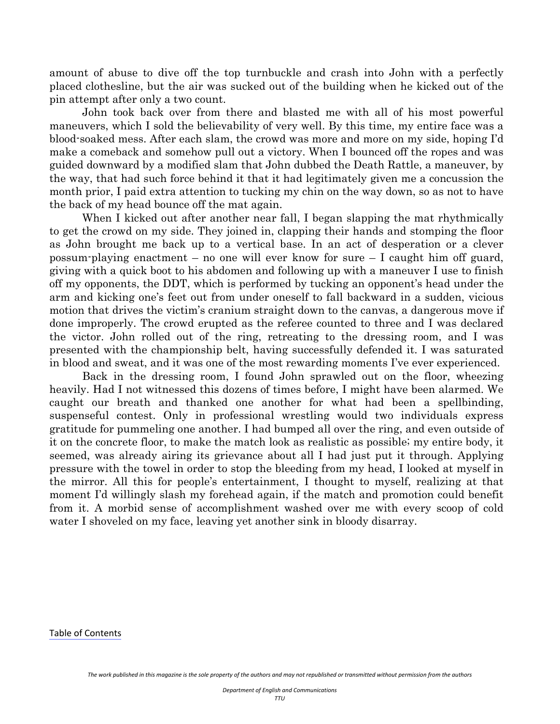amount of abuse to dive off the top turnbuckle and crash into John with a perfectly placed clothesline, but the air was sucked out of the building when he kicked out of the pin attempt after only a two count.

 John took back over from there and blasted me with all of his most powerful maneuvers, which I sold the believability of very well. By this time, my entire face was a blood-soaked mess. After each slam, the crowd was more and more on my side, hoping I'd make a comeback and somehow pull out a victory. When I bounced off the ropes and was guided downward by a modified slam that John dubbed the Death Rattle, a maneuver, by the way, that had such force behind it that it had legitimately given me a concussion the month prior, I paid extra attention to tucking my chin on the way down, so as not to have the back of my head bounce off the mat again.

 When I kicked out after another near fall, I began slapping the mat rhythmically to get the crowd on my side. They joined in, clapping their hands and stomping the floor as John brought me back up to a vertical base. In an act of desperation or a clever possum-playing enactment – no one will ever know for sure – I caught him off guard, giving with a quick boot to his abdomen and following up with a maneuver I use to finish off my opponents, the DDT, which is performed by tucking an opponent's head under the arm and kicking one's feet out from under oneself to fall backward in a sudden, vicious motion that drives the victim's cranium straight down to the canvas, a dangerous move if done improperly. The crowd erupted as the referee counted to three and I was declared the victor. John rolled out of the ring, retreating to the dressing room, and I was presented with the championship belt, having successfully defended it. I was saturated in blood and sweat, and it was one of the most rewarding moments I've ever experienced.

 Back in the dressing room, I found John sprawled out on the floor, wheezing heavily. Had I not witnessed this dozens of times before, I might have been alarmed. We caught our breath and thanked one another for what had been a spellbinding, suspenseful contest. Only in professional wrestling would two individuals express gratitude for pummeling one another. I had bumped all over the ring, and even outside of it on the concrete floor, to make the match look as realistic as possible; my entire body, it seemed, was already airing its grievance about all I had just put it through. Applying pressure with the towel in order to stop the bleeding from my head, I looked at myself in the mirror. All this for people's entertainment, I thought to myself, realizing at that moment I'd willingly slash my forehead again, if the match and promotion could benefit from it. A morbid sense of accomplishment washed over me with every scoop of cold water I shoveled on my face, leaving yet another sink in bloody disarray.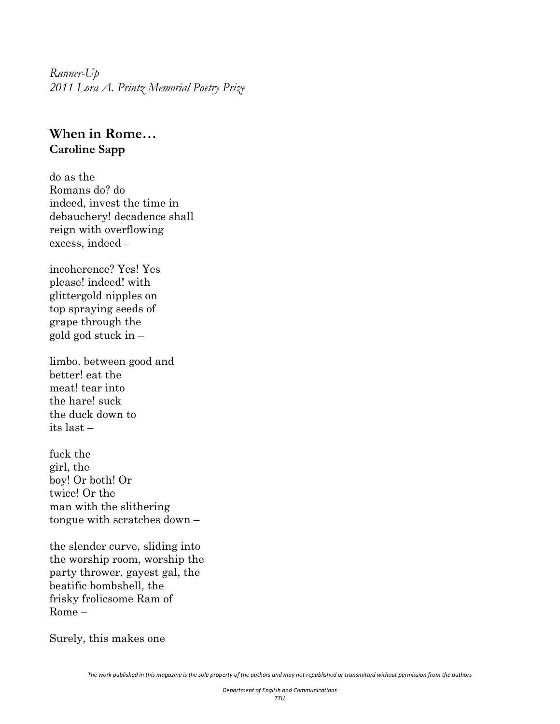<span id="page-33-0"></span>*Runner-Up 2011 Lora A. Printz Memorial Poetry Prize* 

#### **When in Rome… Caroline Sapp**

do as the Romans do? do indeed, invest the time in debauchery! decadence shall reign with overflowing excess, indeed –

incoherence? Yes! Yes please! indeed! with glittergold nipples on top spraying seeds of grape through the gold god stuck in –

limbo. between good and better! eat the meat! tear into the hare! suck the duck down to its last –

fuck the girl, the boy! Or both! Or twice! Or the man with the slithering tongue with scratches down –

the slender curve, sliding into the worship room, worship the party thrower, gayest gal, the beatific bombshell, the frisky frolicsome Ram of Rome –

Surely, this makes one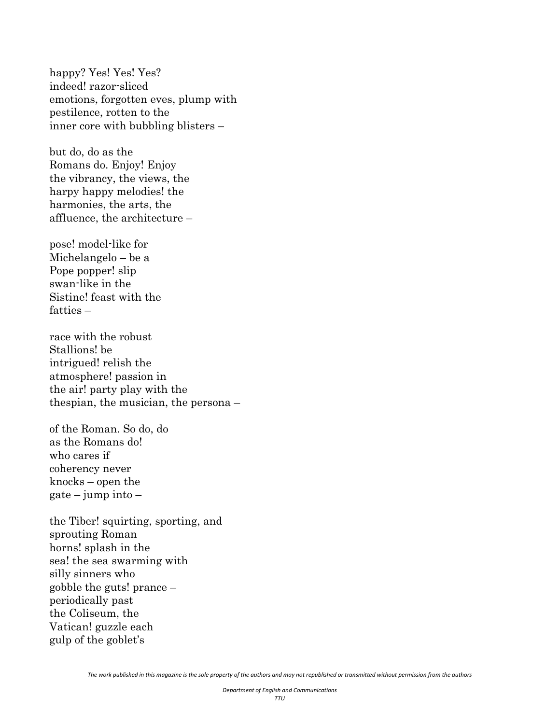happy? Yes! Yes! Yes? indeed! razor-sliced emotions, forgotten eves, plump with pestilence, rotten to the inner core with bubbling blisters –

but do, do as the Romans do. Enjoy! Enjoy the vibrancy, the views, the harpy happy melodies! the harmonies, the arts, the affluence, the architecture –

pose! model-like for Michelangelo – be a Pope popper! slip swan-like in the Sistine! feast with the fatties –

race with the robust Stallions! be intrigued! relish the atmosphere! passion in the air! party play with the thespian, the musician, the persona –

of the Roman. So do, do as the Romans do! who cares if coherency never knocks – open the  $gate - jump into -$ 

the Tiber! squirting, sporting, and sprouting Roman horns! splash in the sea! the sea swarming with silly sinners who gobble the guts! prance – periodically past the Coliseum, the Vatican! guzzle each gulp of the goblet's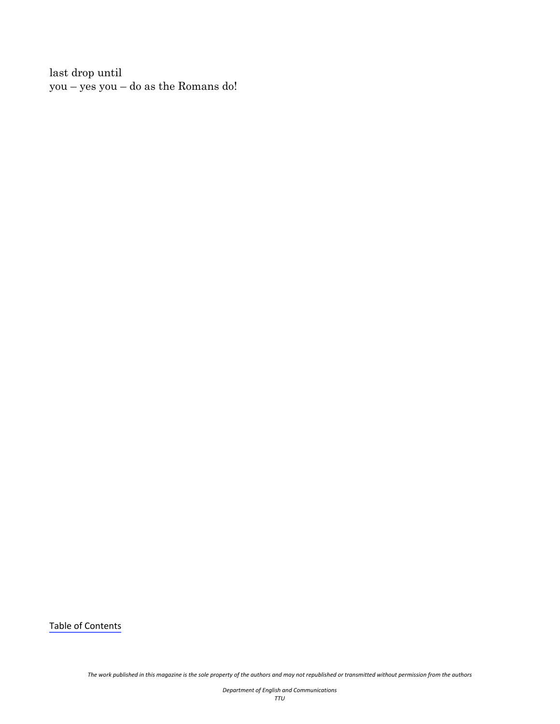last drop until you – yes you – do as the Romans do!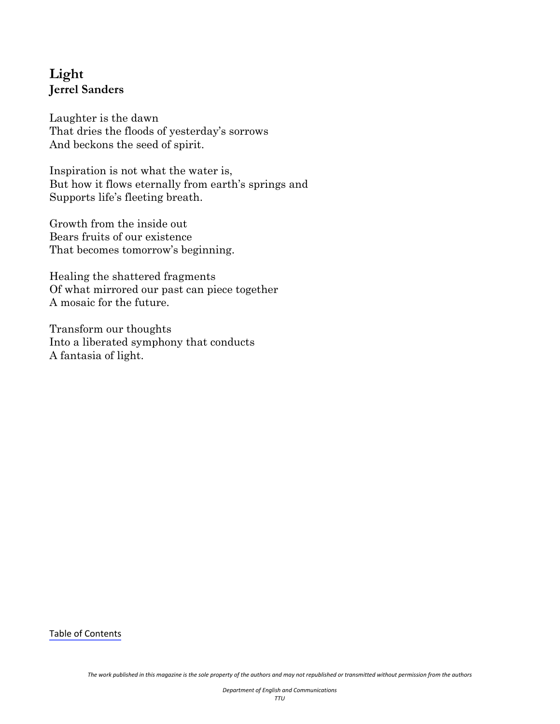# <span id="page-36-0"></span>**Light Jerrel Sanders**

Laughter is the dawn That dries the floods of yesterday's sorrows And beckons the seed of spirit.

Inspiration is not what the water is, But how it flows eternally from earth's springs and Supports life's fleeting breath.

Growth from the inside out Bears fruits of our existence That becomes tomorrow's beginning.

Healing the shattered fragments Of what mirrored our past can piece together A mosaic for the future.

Transform our thoughts Into a liberated symphony that conducts A fantasia of light.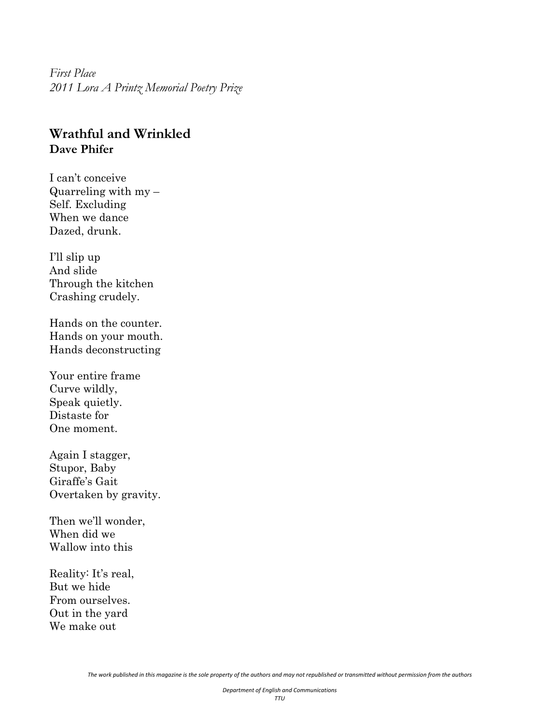<span id="page-37-0"></span>*First Place 2011 Lora A Printz Memorial Poetry Prize*

#### **Wrathful and Wrinkled Dave Phifer**

I can't conceive Quarreling with  $my -$ Self. Excluding When we dance Dazed, drunk.

I'll slip up And slide Through the kitchen Crashing crudely.

Hands on the counter. Hands on your mouth. Hands deconstructing

Your entire frame Curve wildly, Speak quietly. Distaste for One moment.

Again I stagger, Stupor, Baby Giraffe's Gait Overtaken by gravity.

Then we'll wonder, When did we Wallow into this

Reality: It's real, But we hide From ourselves. Out in the yard We make out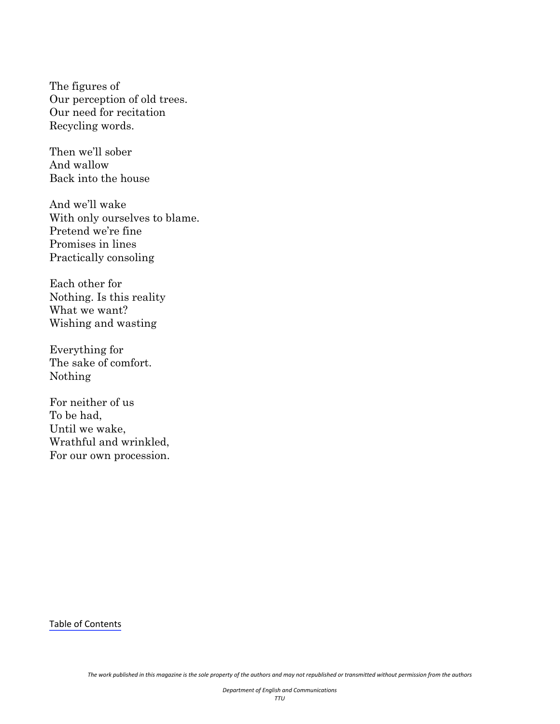The figures of Our perception of old trees. Our need for recitation Recycling words.

Then we'll sober And wallow Back into the house

And we'll wake With only ourselves to blame. Pretend we're fine Promises in lines Practically consoling

Each other for Nothing. Is this reality What we want? Wishing and wasting

Everything for The sake of comfort. Nothing

For neither of us To be had, Until we wake, Wrathful and wrinkled, For our own procession.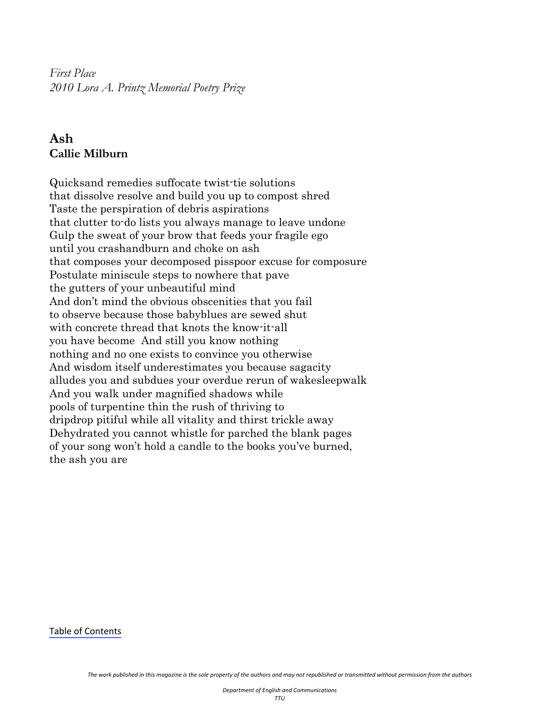<span id="page-39-0"></span>*First Place 2010 Lora A. Printz Memorial Poetry Prize* 

## **Ash Callie Milburn**

Quicksand remedies suffocate twist-tie solutions that dissolve resolve and build you up to compost shred Taste the perspiration of debris aspirations that clutter to-do lists you always manage to leave undone Gulp the sweat of your brow that feeds your fragile ego until you crashandburn and choke on ash that composes your decomposed pisspoor excuse for composure Postulate miniscule steps to nowhere that pave the gutters of your unbeautiful mind And don't mind the obvious obscenities that you fail to observe because those babyblues are sewed shut with concrete thread that knots the know-it-all you have become And still you know nothing nothing and no one exists to convince you otherwise And wisdom itself underestimates you because sagacity alludes you and subdues your overdue rerun of wakesleepwalk And you walk under magnified shadows while pools of turpentine thin the rush of thriving to dripdrop pitiful while all vitality and thirst trickle away Dehydrated you cannot whistle for parched the blank pages of your song won't hold a candle to the books you've burned, the ash you are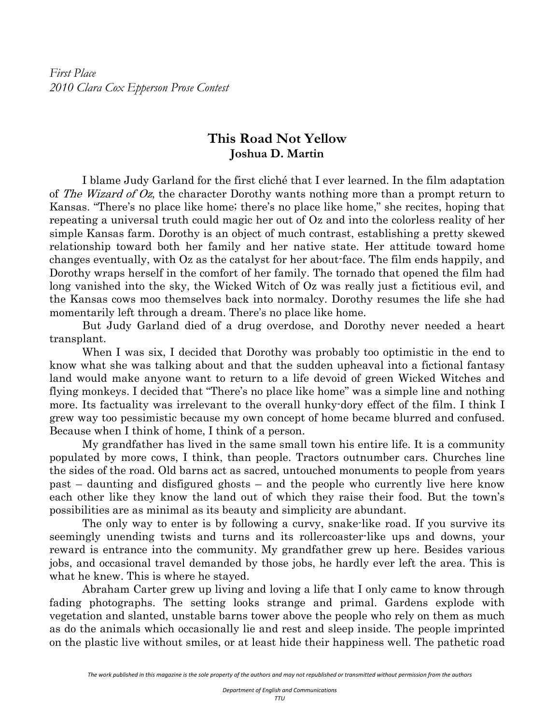<span id="page-40-0"></span>*First Place 2010 Clara Cox Epperson Prose Contest*

#### **This Road Not Yellow Joshua D. Martin**

I blame Judy Garland for the first cliché that I ever learned. In the film adaptation of The Wizard of Oz, the character Dorothy wants nothing more than a prompt return to Kansas. "There's no place like home; there's no place like home," she recites, hoping that repeating a universal truth could magic her out of Oz and into the colorless reality of her simple Kansas farm. Dorothy is an object of much contrast, establishing a pretty skewed relationship toward both her family and her native state. Her attitude toward home changes eventually, with Oz as the catalyst for her about-face. The film ends happily, and Dorothy wraps herself in the comfort of her family. The tornado that opened the film had long vanished into the sky, the Wicked Witch of Oz was really just a fictitious evil, and the Kansas cows moo themselves back into normalcy. Dorothy resumes the life she had momentarily left through a dream. There's no place like home.

 But Judy Garland died of a drug overdose, and Dorothy never needed a heart transplant.

When I was six, I decided that Dorothy was probably too optimistic in the end to know what she was talking about and that the sudden upheaval into a fictional fantasy land would make anyone want to return to a life devoid of green Wicked Witches and flying monkeys. I decided that "There's no place like home" was a simple line and nothing more. Its factuality was irrelevant to the overall hunky-dory effect of the film. I think I grew way too pessimistic because my own concept of home became blurred and confused. Because when I think of home, I think of a person.

 My grandfather has lived in the same small town his entire life. It is a community populated by more cows, I think, than people. Tractors outnumber cars. Churches line the sides of the road. Old barns act as sacred, untouched monuments to people from years past – daunting and disfigured ghosts – and the people who currently live here know each other like they know the land out of which they raise their food. But the town's possibilities are as minimal as its beauty and simplicity are abundant.

 The only way to enter is by following a curvy, snake-like road. If you survive its seemingly unending twists and turns and its rollercoaster-like ups and downs, your reward is entrance into the community. My grandfather grew up here. Besides various jobs, and occasional travel demanded by those jobs, he hardly ever left the area. This is what he knew. This is where he stayed.

 Abraham Carter grew up living and loving a life that I only came to know through fading photographs. The setting looks strange and primal. Gardens explode with vegetation and slanted, unstable barns tower above the people who rely on them as much as do the animals which occasionally lie and rest and sleep inside. The people imprinted on the plastic live without smiles, or at least hide their happiness well. The pathetic road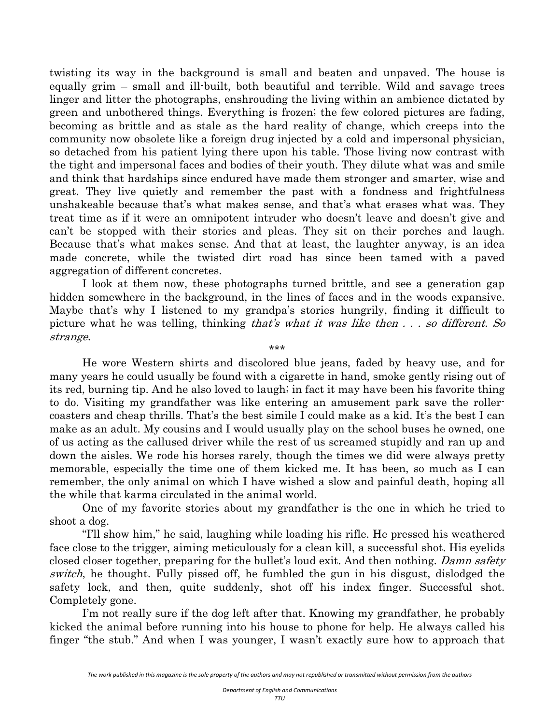twisting its way in the background is small and beaten and unpaved. The house is equally grim – small and ill-built, both beautiful and terrible. Wild and savage trees linger and litter the photographs, enshrouding the living within an ambience dictated by green and unbothered things. Everything is frozen; the few colored pictures are fading, becoming as brittle and as stale as the hard reality of change, which creeps into the community now obsolete like a foreign drug injected by a cold and impersonal physician, so detached from his patient lying there upon his table. Those living now contrast with the tight and impersonal faces and bodies of their youth. They dilute what was and smile and think that hardships since endured have made them stronger and smarter, wise and great. They live quietly and remember the past with a fondness and frightfulness unshakeable because that's what makes sense, and that's what erases what was. They treat time as if it were an omnipotent intruder who doesn't leave and doesn't give and can't be stopped with their stories and pleas. They sit on their porches and laugh. Because that's what makes sense. And that at least, the laughter anyway, is an idea made concrete, while the twisted dirt road has since been tamed with a paved aggregation of different concretes.

 I look at them now, these photographs turned brittle, and see a generation gap hidden somewhere in the background, in the lines of faces and in the woods expansive. Maybe that's why I listened to my grandpa's stories hungrily, finding it difficult to picture what he was telling, thinking that's what it was like then  $\ldots$  so different. So strange.

\*\*\*

He wore Western shirts and discolored blue jeans, faded by heavy use, and for many years he could usually be found with a cigarette in hand, smoke gently rising out of its red, burning tip. And he also loved to laugh; in fact it may have been his favorite thing to do. Visiting my grandfather was like entering an amusement park save the rollercoasters and cheap thrills. That's the best simile I could make as a kid. It's the best I can make as an adult. My cousins and I would usually play on the school buses he owned, one of us acting as the callused driver while the rest of us screamed stupidly and ran up and down the aisles. We rode his horses rarely, though the times we did were always pretty memorable, especially the time one of them kicked me. It has been, so much as I can remember, the only animal on which I have wished a slow and painful death, hoping all the while that karma circulated in the animal world.

 One of my favorite stories about my grandfather is the one in which he tried to shoot a dog.

 "I'll show him," he said, laughing while loading his rifle. He pressed his weathered face close to the trigger, aiming meticulously for a clean kill, a successful shot. His eyelids closed closer together, preparing for the bullet's loud exit. And then nothing. Damn safety switch, he thought. Fully pissed off, he fumbled the gun in his disgust, dislodged the safety lock, and then, quite suddenly, shot off his index finger. Successful shot. Completely gone.

 I'm not really sure if the dog left after that. Knowing my grandfather, he probably kicked the animal before running into his house to phone for help. He always called his finger "the stub." And when I was younger, I wasn't exactly sure how to approach that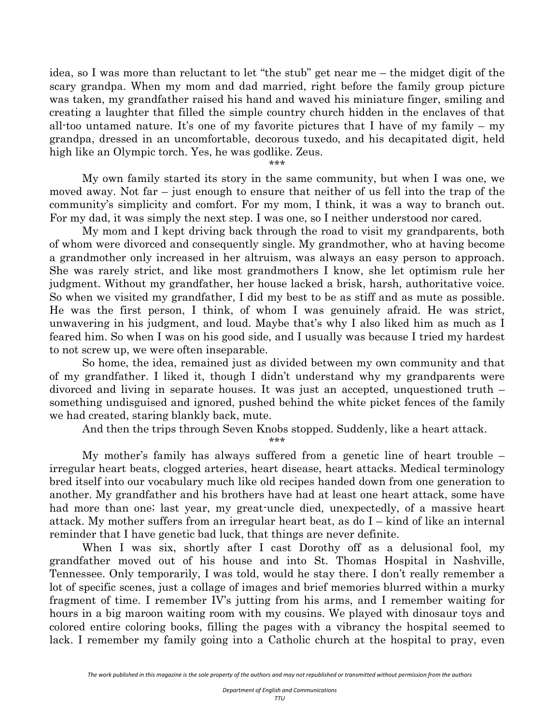idea, so I was more than reluctant to let "the stub" get near me – the midget digit of the scary grandpa. When my mom and dad married, right before the family group picture was taken, my grandfather raised his hand and waved his miniature finger, smiling and creating a laughter that filled the simple country church hidden in the enclaves of that all-too untamed nature. It's one of my favorite pictures that I have of my family – my grandpa, dressed in an uncomfortable, decorous tuxedo, and his decapitated digit, held high like an Olympic torch. Yes, he was godlike. Zeus.

\*\*\*

 My own family started its story in the same community, but when I was one, we moved away. Not far – just enough to ensure that neither of us fell into the trap of the community's simplicity and comfort. For my mom, I think, it was a way to branch out. For my dad, it was simply the next step. I was one, so I neither understood nor cared.

 My mom and I kept driving back through the road to visit my grandparents, both of whom were divorced and consequently single. My grandmother, who at having become a grandmother only increased in her altruism, was always an easy person to approach. She was rarely strict, and like most grandmothers I know, she let optimism rule her judgment. Without my grandfather, her house lacked a brisk, harsh, authoritative voice. So when we visited my grandfather, I did my best to be as stiff and as mute as possible. He was the first person, I think, of whom I was genuinely afraid. He was strict, unwavering in his judgment, and loud. Maybe that's why I also liked him as much as I feared him. So when I was on his good side, and I usually was because I tried my hardest to not screw up, we were often inseparable.

 So home, the idea, remained just as divided between my own community and that of my grandfather. I liked it, though I didn't understand why my grandparents were divorced and living in separate houses. It was just an accepted, unquestioned truth – something undisguised and ignored, pushed behind the white picket fences of the family we had created, staring blankly back, mute.

And then the trips through Seven Knobs stopped. Suddenly, like a heart attack.

\*\*\*

 My mother's family has always suffered from a genetic line of heart trouble – irregular heart beats, clogged arteries, heart disease, heart attacks. Medical terminology bred itself into our vocabulary much like old recipes handed down from one generation to another. My grandfather and his brothers have had at least one heart attack, some have had more than one; last year, my great-uncle died, unexpectedly, of a massive heart attack. My mother suffers from an irregular heart beat, as do I – kind of like an internal reminder that I have genetic bad luck, that things are never definite.

When I was six, shortly after I cast Dorothy off as a delusional fool, my grandfather moved out of his house and into St. Thomas Hospital in Nashville, Tennessee. Only temporarily, I was told, would he stay there. I don't really remember a lot of specific scenes, just a collage of images and brief memories blurred within a murky fragment of time. I remember IV's jutting from his arms, and I remember waiting for hours in a big maroon waiting room with my cousins. We played with dinosaur toys and colored entire coloring books, filling the pages with a vibrancy the hospital seemed to lack. I remember my family going into a Catholic church at the hospital to pray, even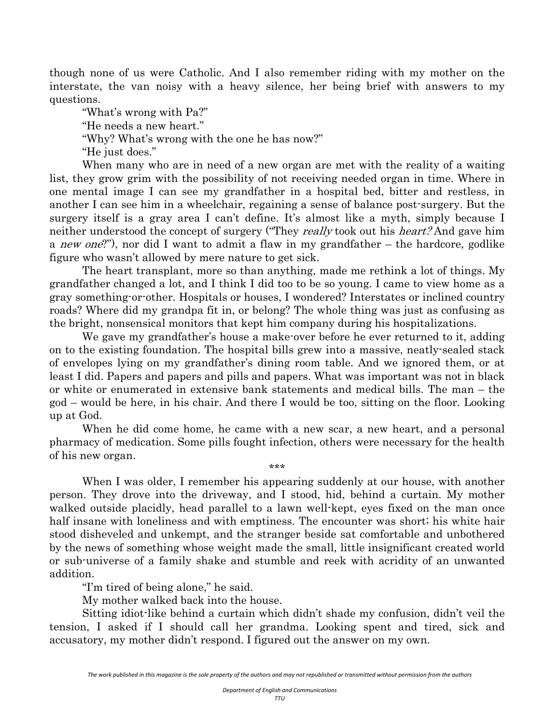though none of us were Catholic. And I also remember riding with my mother on the interstate, the van noisy with a heavy silence, her being brief with answers to my questions.

"What's wrong with Pa?"

"He needs a new heart."

"Why? What's wrong with the one he has now?"

"He just does."

 When many who are in need of a new organ are met with the reality of a waiting list, they grow grim with the possibility of not receiving needed organ in time. Where in one mental image I can see my grandfather in a hospital bed, bitter and restless, in another I can see him in a wheelchair, regaining a sense of balance post-surgery. But the surgery itself is a gray area I can't define. It's almost like a myth, simply because I neither understood the concept of surgery ("They *really* took out his *heart?* And gave him a *new one*?"), nor did I want to admit a flaw in my grandfather – the hardcore, godlike figure who wasn't allowed by mere nature to get sick.

 The heart transplant, more so than anything, made me rethink a lot of things. My grandfather changed a lot, and I think I did too to be so young. I came to view home as a gray something-or-other. Hospitals or houses, I wondered? Interstates or inclined country roads? Where did my grandpa fit in, or belong? The whole thing was just as confusing as the bright, nonsensical monitors that kept him company during his hospitalizations.

 We gave my grandfather's house a make-over before he ever returned to it, adding on to the existing foundation. The hospital bills grew into a massive, neatly-sealed stack of envelopes lying on my grandfather's dining room table. And we ignored them, or at least I did. Papers and papers and pills and papers. What was important was not in black or white or enumerated in extensive bank statements and medical bills. The man – the god – would be here, in his chair. And there I would be too, sitting on the floor. Looking up at God.

When he did come home, he came with a new scar, a new heart, and a personal pharmacy of medication. Some pills fought infection, others were necessary for the health of his new organ. \*\*\*

 When I was older, I remember his appearing suddenly at our house, with another person. They drove into the driveway, and I stood, hid, behind a curtain. My mother walked outside placidly, head parallel to a lawn well-kept, eyes fixed on the man once half insane with loneliness and with emptiness. The encounter was short; his white hair stood disheveled and unkempt, and the stranger beside sat comfortable and unbothered by the news of something whose weight made the small, little insignificant created world or sub-universe of a family shake and stumble and reek with acridity of an unwanted addition.

"I'm tired of being alone," he said.

My mother walked back into the house.

 Sitting idiot-like behind a curtain which didn't shade my confusion, didn't veil the tension, I asked if I should call her grandma. Looking spent and tired, sick and accusatory, my mother didn't respond. I figured out the answer on my own.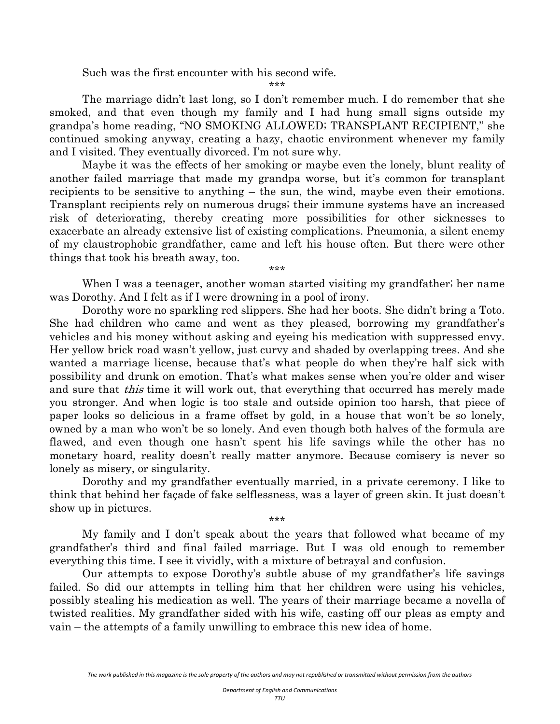Such was the first encounter with his second wife.

\*\*\*

The marriage didn't last long, so I don't remember much. I do remember that she smoked, and that even though my family and I had hung small signs outside my grandpa's home reading, "NO SMOKING ALLOWED; TRANSPLANT RECIPIENT," she continued smoking anyway, creating a hazy, chaotic environment whenever my family and I visited. They eventually divorced. I'm not sure why.

 Maybe it was the effects of her smoking or maybe even the lonely, blunt reality of another failed marriage that made my grandpa worse, but it's common for transplant recipients to be sensitive to anything – the sun, the wind, maybe even their emotions. Transplant recipients rely on numerous drugs; their immune systems have an increased risk of deteriorating, thereby creating more possibilities for other sicknesses to exacerbate an already extensive list of existing complications. Pneumonia, a silent enemy of my claustrophobic grandfather, came and left his house often. But there were other things that took his breath away, too.

\*\*\*

 When I was a teenager, another woman started visiting my grandfather; her name was Dorothy. And I felt as if I were drowning in a pool of irony.

 Dorothy wore no sparkling red slippers. She had her boots. She didn't bring a Toto. She had children who came and went as they pleased, borrowing my grandfather's vehicles and his money without asking and eyeing his medication with suppressed envy. Her yellow brick road wasn't yellow, just curvy and shaded by overlapping trees. And she wanted a marriage license, because that's what people do when they're half sick with possibility and drunk on emotion. That's what makes sense when you're older and wiser and sure that *this* time it will work out, that everything that occurred has merely made you stronger. And when logic is too stale and outside opinion too harsh, that piece of paper looks so delicious in a frame offset by gold, in a house that won't be so lonely, owned by a man who won't be so lonely. And even though both halves of the formula are flawed, and even though one hasn't spent his life savings while the other has no monetary hoard, reality doesn't really matter anymore. Because comisery is never so lonely as misery, or singularity.

Dorothy and my grandfather eventually married, in a private ceremony. I like to think that behind her façade of fake selflessness, was a layer of green skin. It just doesn't show up in pictures.

\*\*\*

 My family and I don't speak about the years that followed what became of my grandfather's third and final failed marriage. But I was old enough to remember everything this time. I see it vividly, with a mixture of betrayal and confusion.

 Our attempts to expose Dorothy's subtle abuse of my grandfather's life savings failed. So did our attempts in telling him that her children were using his vehicles, possibly stealing his medication as well. The years of their marriage became a novella of twisted realities. My grandfather sided with his wife, casting off our pleas as empty and vain – the attempts of a family unwilling to embrace this new idea of home.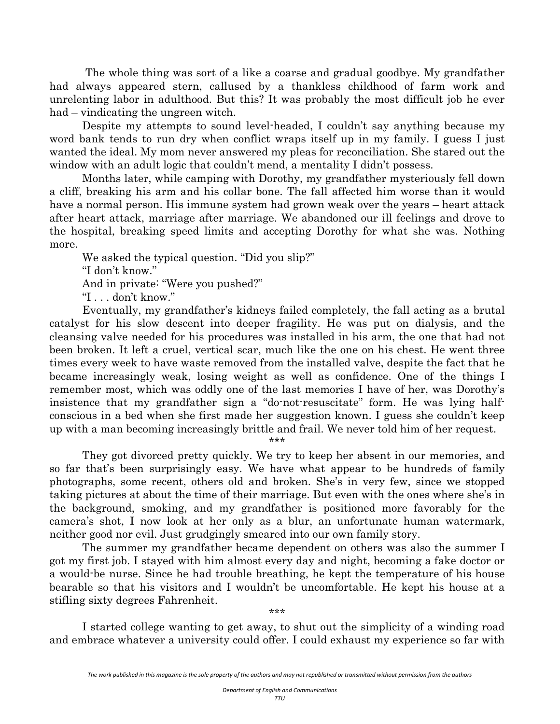The whole thing was sort of a like a coarse and gradual goodbye. My grandfather had always appeared stern, callused by a thankless childhood of farm work and unrelenting labor in adulthood. But this? It was probably the most difficult job he ever had – vindicating the ungreen witch.

 Despite my attempts to sound level-headed, I couldn't say anything because my word bank tends to run dry when conflict wraps itself up in my family. I guess I just wanted the ideal. My mom never answered my pleas for reconciliation. She stared out the window with an adult logic that couldn't mend, a mentality I didn't possess.

 Months later, while camping with Dorothy, my grandfather mysteriously fell down a cliff, breaking his arm and his collar bone. The fall affected him worse than it would have a normal person. His immune system had grown weak over the years – heart attack after heart attack, marriage after marriage. We abandoned our ill feelings and drove to the hospital, breaking speed limits and accepting Dorothy for what she was. Nothing more.

We asked the typical question. "Did you slip?" "I don't know." And in private: "Were you pushed?" "I . . . don't know."

 Eventually, my grandfather's kidneys failed completely, the fall acting as a brutal catalyst for his slow descent into deeper fragility. He was put on dialysis, and the cleansing valve needed for his procedures was installed in his arm, the one that had not been broken. It left a cruel, vertical scar, much like the one on his chest. He went three times every week to have waste removed from the installed valve, despite the fact that he became increasingly weak, losing weight as well as confidence. One of the things I remember most, which was oddly one of the last memories I have of her, was Dorothy's insistence that my grandfather sign a "do-not-resuscitate" form. He was lying halfconscious in a bed when she first made her suggestion known. I guess she couldn't keep up with a man becoming increasingly brittle and frail. We never told him of her request.

\*\*\*

 They got divorced pretty quickly. We try to keep her absent in our memories, and so far that's been surprisingly easy. We have what appear to be hundreds of family photographs, some recent, others old and broken. She's in very few, since we stopped taking pictures at about the time of their marriage. But even with the ones where she's in the background, smoking, and my grandfather is positioned more favorably for the camera's shot, I now look at her only as a blur, an unfortunate human watermark, neither good nor evil. Just grudgingly smeared into our own family story.

 The summer my grandfather became dependent on others was also the summer I got my first job. I stayed with him almost every day and night, becoming a fake doctor or a would-be nurse. Since he had trouble breathing, he kept the temperature of his house bearable so that his visitors and I wouldn't be uncomfortable. He kept his house at a stifling sixty degrees Fahrenheit.

\*\*\*

 I started college wanting to get away, to shut out the simplicity of a winding road and embrace whatever a university could offer. I could exhaust my experience so far with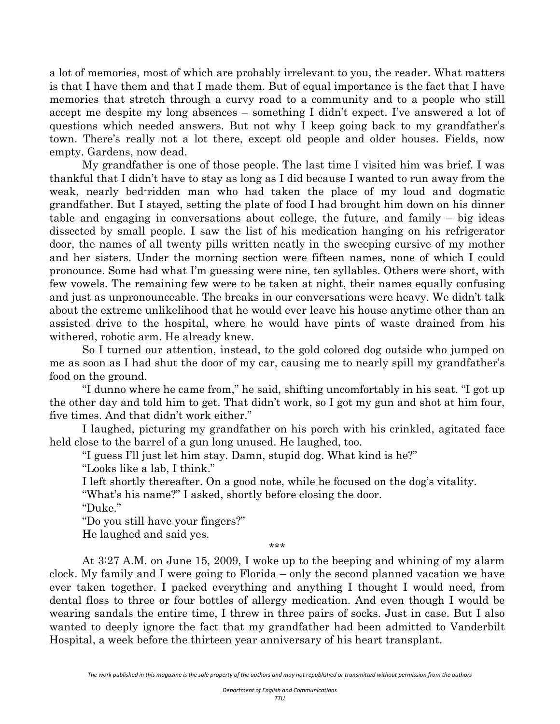a lot of memories, most of which are probably irrelevant to you, the reader. What matters is that I have them and that I made them. But of equal importance is the fact that I have memories that stretch through a curvy road to a community and to a people who still accept me despite my long absences – something I didn't expect. I've answered a lot of questions which needed answers. But not why I keep going back to my grandfather's town. There's really not a lot there, except old people and older houses. Fields, now empty. Gardens, now dead.

 My grandfather is one of those people. The last time I visited him was brief. I was thankful that I didn't have to stay as long as I did because I wanted to run away from the weak, nearly bed-ridden man who had taken the place of my loud and dogmatic grandfather. But I stayed, setting the plate of food I had brought him down on his dinner table and engaging in conversations about college, the future, and family – big ideas dissected by small people. I saw the list of his medication hanging on his refrigerator door, the names of all twenty pills written neatly in the sweeping cursive of my mother and her sisters. Under the morning section were fifteen names, none of which I could pronounce. Some had what I'm guessing were nine, ten syllables. Others were short, with few vowels. The remaining few were to be taken at night, their names equally confusing and just as unpronounceable. The breaks in our conversations were heavy. We didn't talk about the extreme unlikelihood that he would ever leave his house anytime other than an assisted drive to the hospital, where he would have pints of waste drained from his withered, robotic arm. He already knew.

 So I turned our attention, instead, to the gold colored dog outside who jumped on me as soon as I had shut the door of my car, causing me to nearly spill my grandfather's food on the ground.

 "I dunno where he came from," he said, shifting uncomfortably in his seat. "I got up the other day and told him to get. That didn't work, so I got my gun and shot at him four, five times. And that didn't work either."

 I laughed, picturing my grandfather on his porch with his crinkled, agitated face held close to the barrel of a gun long unused. He laughed, too.

"I guess I'll just let him stay. Damn, stupid dog. What kind is he?"

"Looks like a lab, I think."

I left shortly thereafter. On a good note, while he focused on the dog's vitality.

"What's his name?" I asked, shortly before closing the door.

"Duke."

"Do you still have your fingers?"

He laughed and said yes.

\*\*\*

At 3:27 A.M. on June 15, 2009, I woke up to the beeping and whining of my alarm clock. My family and I were going to Florida – only the second planned vacation we have ever taken together. I packed everything and anything I thought I would need, from dental floss to three or four bottles of allergy medication. And even though I would be wearing sandals the entire time, I threw in three pairs of socks. Just in case. But I also wanted to deeply ignore the fact that my grandfather had been admitted to Vanderbilt Hospital, a week before the thirteen year anniversary of his heart transplant.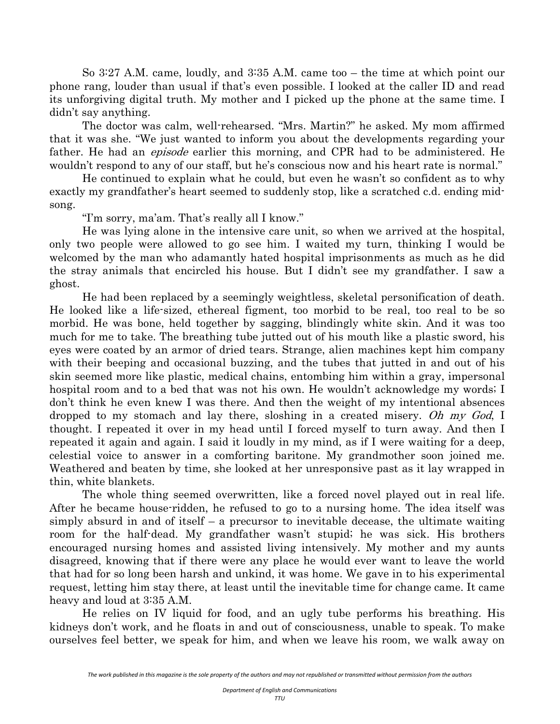So 3:27 A.M. came, loudly, and 3:35 A.M. came too – the time at which point our phone rang, louder than usual if that's even possible. I looked at the caller ID and read its unforgiving digital truth. My mother and I picked up the phone at the same time. I didn't say anything.

 The doctor was calm, well-rehearsed. "Mrs. Martin?" he asked. My mom affirmed that it was she. "We just wanted to inform you about the developments regarding your father. He had an *episode* earlier this morning, and CPR had to be administered. He wouldn't respond to any of our staff, but he's conscious now and his heart rate is normal."

 He continued to explain what he could, but even he wasn't so confident as to why exactly my grandfather's heart seemed to suddenly stop, like a scratched c.d. ending midsong.

"I'm sorry, ma'am. That's really all I know."

 He was lying alone in the intensive care unit, so when we arrived at the hospital, only two people were allowed to go see him. I waited my turn, thinking I would be welcomed by the man who adamantly hated hospital imprisonments as much as he did the stray animals that encircled his house. But I didn't see my grandfather. I saw a ghost.

 He had been replaced by a seemingly weightless, skeletal personification of death. He looked like a life-sized, ethereal figment, too morbid to be real, too real to be so morbid. He was bone, held together by sagging, blindingly white skin. And it was too much for me to take. The breathing tube jutted out of his mouth like a plastic sword, his eyes were coated by an armor of dried tears. Strange, alien machines kept him company with their beeping and occasional buzzing, and the tubes that jutted in and out of his skin seemed more like plastic, medical chains, entombing him within a gray, impersonal hospital room and to a bed that was not his own. He wouldn't acknowledge my words; I don't think he even knew I was there. And then the weight of my intentional absences dropped to my stomach and lay there, sloshing in a created misery. Oh my God, I thought. I repeated it over in my head until I forced myself to turn away. And then I repeated it again and again. I said it loudly in my mind, as if I were waiting for a deep, celestial voice to answer in a comforting baritone. My grandmother soon joined me. Weathered and beaten by time, she looked at her unresponsive past as it lay wrapped in thin, white blankets.

The whole thing seemed overwritten, like a forced novel played out in real life. After he became house-ridden, he refused to go to a nursing home. The idea itself was simply absurd in and of itself – a precursor to inevitable decease, the ultimate waiting room for the half-dead. My grandfather wasn't stupid; he was sick. His brothers encouraged nursing homes and assisted living intensively. My mother and my aunts disagreed, knowing that if there were any place he would ever want to leave the world that had for so long been harsh and unkind, it was home. We gave in to his experimental request, letting him stay there, at least until the inevitable time for change came. It came heavy and loud at 3:35 A.M.

He relies on IV liquid for food, and an ugly tube performs his breathing. His kidneys don't work, and he floats in and out of consciousness, unable to speak. To make ourselves feel better, we speak for him, and when we leave his room, we walk away on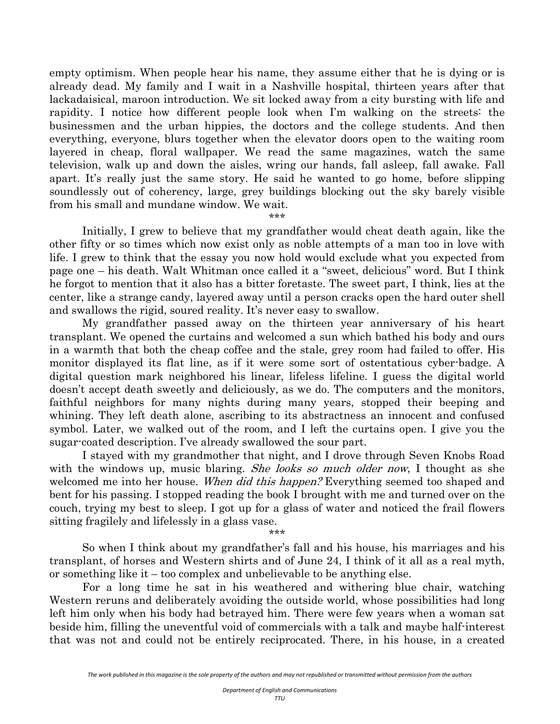empty optimism. When people hear his name, they assume either that he is dying or is already dead. My family and I wait in a Nashville hospital, thirteen years after that lackadaisical, maroon introduction. We sit locked away from a city bursting with life and rapidity. I notice how different people look when I'm walking on the streets: the businessmen and the urban hippies, the doctors and the college students. And then everything, everyone, blurs together when the elevator doors open to the waiting room layered in cheap, floral wallpaper. We read the same magazines, watch the same television, walk up and down the aisles, wring our hands, fall asleep, fall awake. Fall apart. It's really just the same story. He said he wanted to go home, before slipping soundlessly out of coherency, large, grey buildings blocking out the sky barely visible from his small and mundane window. We wait.

\*\*\*

 Initially, I grew to believe that my grandfather would cheat death again, like the other fifty or so times which now exist only as noble attempts of a man too in love with life. I grew to think that the essay you now hold would exclude what you expected from page one – his death. Walt Whitman once called it a "sweet, delicious" word. But I think he forgot to mention that it also has a bitter foretaste. The sweet part, I think, lies at the center, like a strange candy, layered away until a person cracks open the hard outer shell and swallows the rigid, soured reality. It's never easy to swallow.

My grandfather passed away on the thirteen year anniversary of his heart transplant. We opened the curtains and welcomed a sun which bathed his body and ours in a warmth that both the cheap coffee and the stale, grey room had failed to offer. His monitor displayed its flat line, as if it were some sort of ostentatious cyber-badge. A digital question mark neighbored his linear, lifeless lifeline. I guess the digital world doesn't accept death sweetly and deliciously, as we do. The computers and the monitors, faithful neighbors for many nights during many years, stopped their beeping and whining. They left death alone, ascribing to its abstractness an innocent and confused symbol. Later, we walked out of the room, and I left the curtains open. I give you the sugar-coated description. I've already swallowed the sour part.

I stayed with my grandmother that night, and I drove through Seven Knobs Road with the windows up, music blaring. *She looks so much older now*, I thought as she welcomed me into her house. When did this happen? Everything seemed too shaped and bent for his passing. I stopped reading the book I brought with me and turned over on the couch, trying my best to sleep. I got up for a glass of water and noticed the frail flowers sitting fragilely and lifelessly in a glass vase.

\*\*\*

So when I think about my grandfather's fall and his house, his marriages and his transplant, of horses and Western shirts and of June 24, I think of it all as a real myth, or something like it – too complex and unbelievable to be anything else.

For a long time he sat in his weathered and withering blue chair, watching Western reruns and deliberately avoiding the outside world, whose possibilities had long left him only when his body had betrayed him. There were few years when a woman sat beside him, filling the uneventful void of commercials with a talk and maybe half-interest that was not and could not be entirely reciprocated. There, in his house, in a created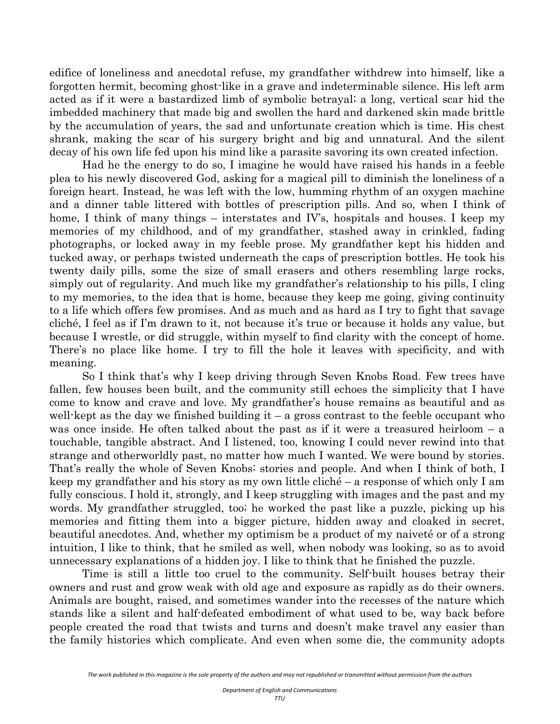edifice of loneliness and anecdotal refuse, my grandfather withdrew into himself, like a forgotten hermit, becoming ghost-like in a grave and indeterminable silence. His left arm acted as if it were a bastardized limb of symbolic betrayal; a long, vertical scar hid the imbedded machinery that made big and swollen the hard and darkened skin made brittle by the accumulation of years, the sad and unfortunate creation which is time. His chest shrank, making the scar of his surgery bright and big and unnatural. And the silent decay of his own life fed upon his mind like a parasite savoring its own created infection.

Had he the energy to do so, I imagine he would have raised his hands in a feeble plea to his newly discovered God, asking for a magical pill to diminish the loneliness of a foreign heart. Instead, he was left with the low, humming rhythm of an oxygen machine and a dinner table littered with bottles of prescription pills. And so, when I think of home, I think of many things – interstates and IV's, hospitals and houses. I keep my memories of my childhood, and of my grandfather, stashed away in crinkled, fading photographs, or locked away in my feeble prose. My grandfather kept his hidden and tucked away, or perhaps twisted underneath the caps of prescription bottles. He took his twenty daily pills, some the size of small erasers and others resembling large rocks, simply out of regularity. And much like my grandfather's relationship to his pills, I cling to my memories, to the idea that is home, because they keep me going, giving continuity to a life which offers few promises. And as much and as hard as I try to fight that savage cliché, I feel as if I'm drawn to it, not because it's true or because it holds any value, but because I wrestle, or did struggle, within myself to find clarity with the concept of home. There's no place like home. I try to fill the hole it leaves with specificity, and with meaning.

So I think that's why I keep driving through Seven Knobs Road. Few trees have fallen, few houses been built, and the community still echoes the simplicity that I have come to know and crave and love. My grandfather's house remains as beautiful and as well-kept as the day we finished building  $it - a$  gross contrast to the feeble occupant who was once inside. He often talked about the past as if it were a treasured heirloom – a touchable, tangible abstract. And I listened, too, knowing I could never rewind into that strange and otherworldly past, no matter how much I wanted. We were bound by stories. That's really the whole of Seven Knobs: stories and people. And when I think of both, I keep my grandfather and his story as my own little cliché – a response of which only I am fully conscious. I hold it, strongly, and I keep struggling with images and the past and my words. My grandfather struggled, too; he worked the past like a puzzle, picking up his memories and fitting them into a bigger picture, hidden away and cloaked in secret, beautiful anecdotes. And, whether my optimism be a product of my naiveté or of a strong intuition, I like to think, that he smiled as well, when nobody was looking, so as to avoid unnecessary explanations of a hidden joy. I like to think that he finished the puzzle.

Time is still a little too cruel to the community. Self-built houses betray their owners and rust and grow weak with old age and exposure as rapidly as do their owners. Animals are bought, raised, and sometimes wander into the recesses of the nature which stands like a silent and half-defeated embodiment of what used to be, way back before people created the road that twists and turns and doesn't make travel any easier than the family histories which complicate. And even when some die, the community adopts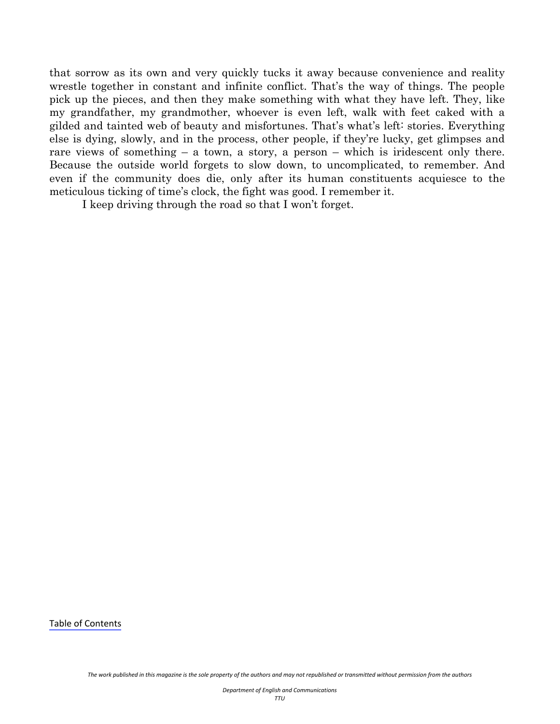that sorrow as its own and very quickly tucks it away because convenience and reality wrestle together in constant and infinite conflict. That's the way of things. The people pick up the pieces, and then they make something with what they have left. They, like my grandfather, my grandmother, whoever is even left, walk with feet caked with a gilded and tainted web of beauty and misfortunes. That's what's left: stories. Everything else is dying, slowly, and in the process, other people, if they're lucky, get glimpses and rare views of something – a town, a story, a person – which is iridescent only there. Because the outside world forgets to slow down, to uncomplicated, to remember. And even if the community does die, only after its human constituents acquiesce to the meticulous ticking of time's clock, the fight was good. I remember it.

I keep driving through the road so that I won't forget.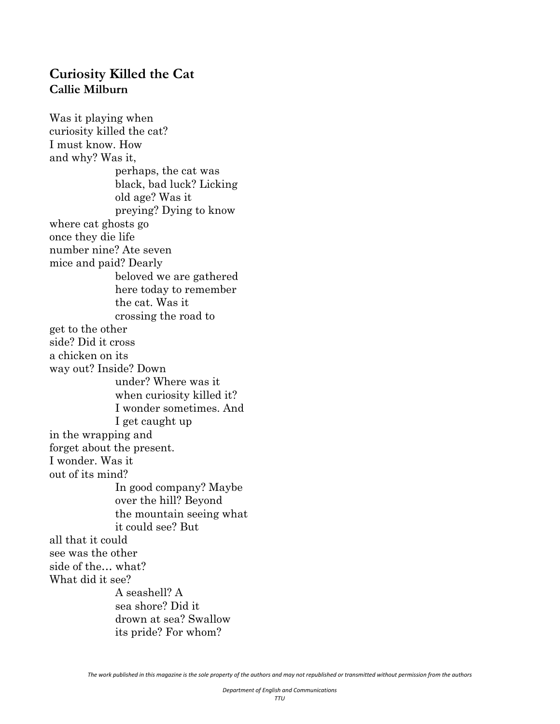#### <span id="page-51-0"></span>**Curiosity Killed the Cat Callie Milburn**

Was it playing when curiosity killed the cat? I must know. How and why? Was it, perhaps, the cat was black, bad luck? Licking old age? Was it preying? Dying to know where cat ghosts go once they die life number nine? Ate seven mice and paid? Dearly beloved we are gathered here today to remember the cat. Was it crossing the road to get to the other side? Did it cross a chicken on its way out? Inside? Down under? Where was it when curiosity killed it? I wonder sometimes. And I get caught up in the wrapping and forget about the present. I wonder. Was it out of its mind? In good company? Maybe over the hill? Beyond the mountain seeing what it could see? But all that it could see was the other side of the… what? What did it see? A seashell? A sea shore? Did it drown at sea? Swallow its pride? For whom?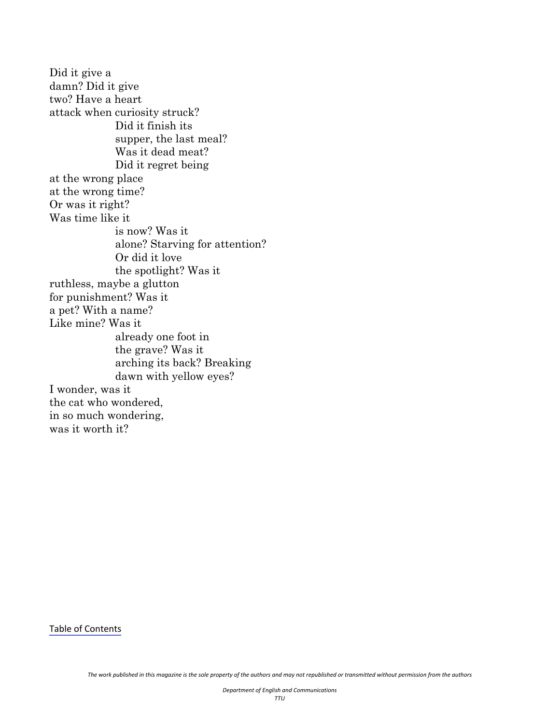Did it give a damn? Did it give two? Have a heart attack when curiosity struck? Did it finish its supper, the last meal? Was it dead meat? Did it regret being at the wrong place at the wrong time? Or was it right? Was time like it is now? Was it alone? Starving for attention? Or did it love the spotlight? Was it ruthless, maybe a glutton for punishment? Was it a pet? With a name? Like mine? Was it already one foot in the grave? Was it arching its back? Breaking dawn with yellow eyes? I wonder, was it the cat who wondered, in so much wondering, was it worth it?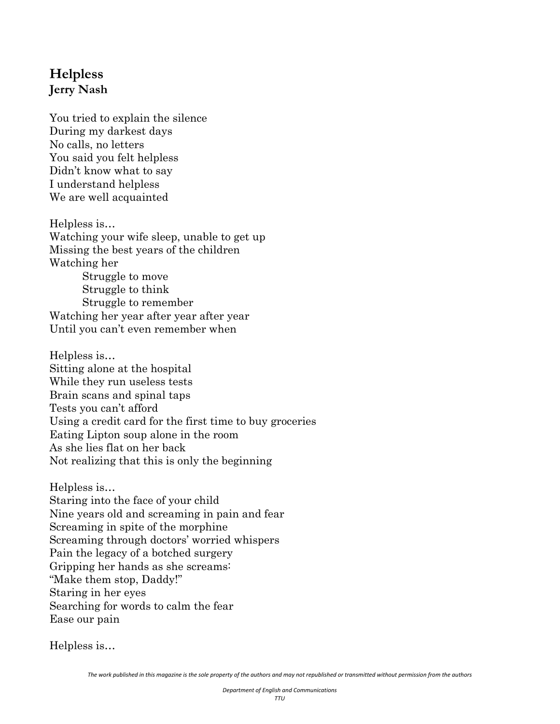# <span id="page-53-0"></span>**Helpless Jerry Nash**

You tried to explain the silence During my darkest days No calls, no letters You said you felt helpless Didn't know what to say I understand helpless We are well acquainted

Helpless is… Watching your wife sleep, unable to get up Missing the best years of the children Watching her Struggle to move Struggle to think Struggle to remember Watching her year after year after year Until you can't even remember when

Helpless is… Sitting alone at the hospital While they run useless tests Brain scans and spinal taps Tests you can't afford Using a credit card for the first time to buy groceries Eating Lipton soup alone in the room As she lies flat on her back Not realizing that this is only the beginning

Helpless is… Staring into the face of your child Nine years old and screaming in pain and fear Screaming in spite of the morphine Screaming through doctors' worried whispers Pain the legacy of a botched surgery Gripping her hands as she screams: "Make them stop, Daddy!" Staring in her eyes Searching for words to calm the fear Ease our pain

Helpless is…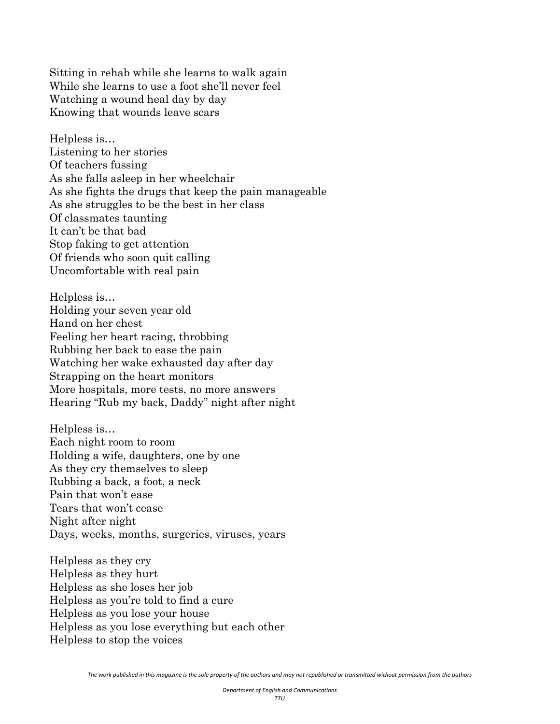Sitting in rehab while she learns to walk again While she learns to use a foot she'll never feel Watching a wound heal day by day Knowing that wounds leave scars

Helpless is… Listening to her stories Of teachers fussing As she falls asleep in her wheelchair As she fights the drugs that keep the pain manageable As she struggles to be the best in her class Of classmates taunting It can't be that bad Stop faking to get attention Of friends who soon quit calling Uncomfortable with real pain

Helpless is… Holding your seven year old Hand on her chest Feeling her heart racing, throbbing Rubbing her back to ease the pain Watching her wake exhausted day after day Strapping on the heart monitors More hospitals, more tests, no more answers Hearing "Rub my back, Daddy" night after night

Helpless is… Each night room to room Holding a wife, daughters, one by one As they cry themselves to sleep Rubbing a back, a foot, a neck Pain that won't ease Tears that won't cease Night after night Days, weeks, months, surgeries, viruses, years

Helpless as they cry Helpless as they hurt Helpless as she loses her job Helpless as you're told to find a cure Helpless as you lose your house Helpless as you lose everything but each other Helpless to stop the voices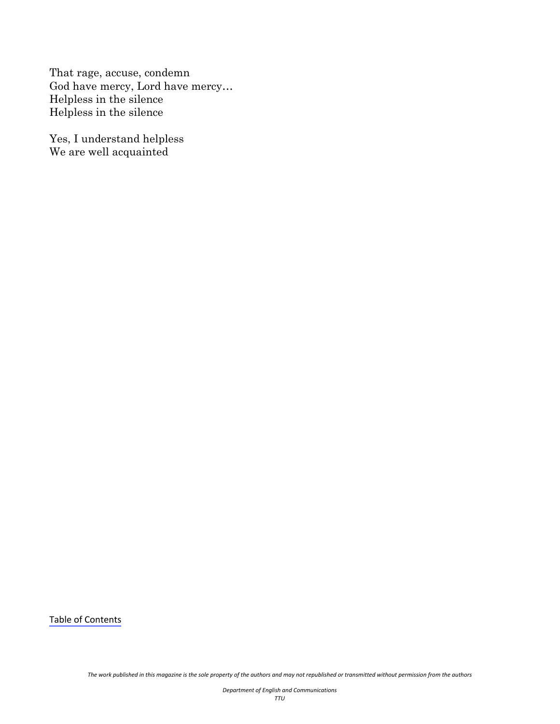That rage, accuse, condemn God have mercy, Lord have mercy… Helpless in the silence Helpless in the silence

Yes, I understand helpless We are well acquainted